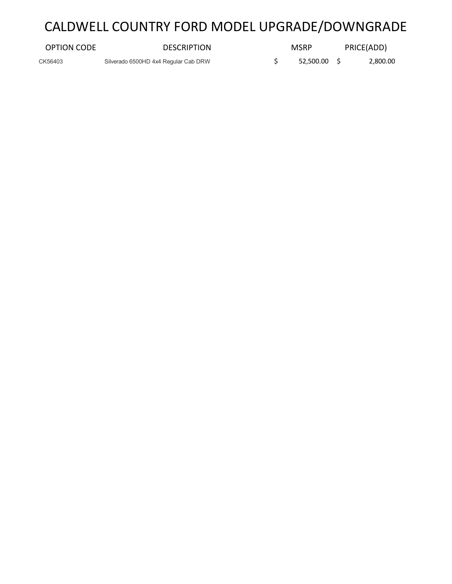# CALDWELL COUNTRY FORD MODEL UPGRADE/DOWNGRADE

| OPTION CODE | <b>DESCRIPTION</b>                   | <b>MSRP</b>  | PRICE(ADD) |
|-------------|--------------------------------------|--------------|------------|
| CK56403     | Silverado 6500HD 4x4 Regular Cab DRW | 52,500.00 \$ | 2,800.00   |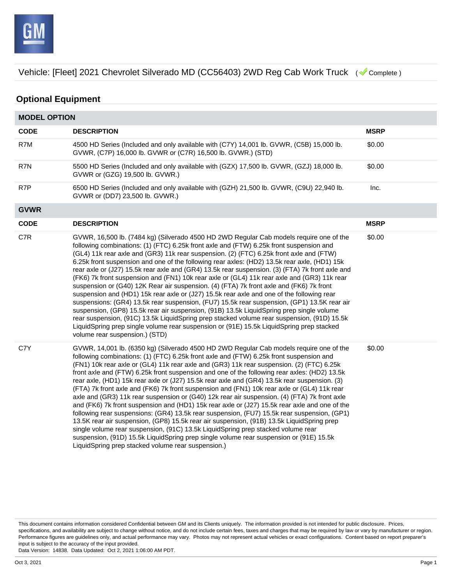

## **Optional Equipment**

| <b>MODEL OPTION</b> |                                                                                                                                                                                                                                                                                                                                                                                                                                                                                                                                                                                                                                                                                                                                                                                                                                                                                                                                                                                                                                                                                                                                                                                                                 |             |  |
|---------------------|-----------------------------------------------------------------------------------------------------------------------------------------------------------------------------------------------------------------------------------------------------------------------------------------------------------------------------------------------------------------------------------------------------------------------------------------------------------------------------------------------------------------------------------------------------------------------------------------------------------------------------------------------------------------------------------------------------------------------------------------------------------------------------------------------------------------------------------------------------------------------------------------------------------------------------------------------------------------------------------------------------------------------------------------------------------------------------------------------------------------------------------------------------------------------------------------------------------------|-------------|--|
| <b>CODE</b>         | <b>DESCRIPTION</b>                                                                                                                                                                                                                                                                                                                                                                                                                                                                                                                                                                                                                                                                                                                                                                                                                                                                                                                                                                                                                                                                                                                                                                                              | <b>MSRP</b> |  |
| R7M                 | 4500 HD Series (Included and only available with (C7Y) 14,001 lb. GVWR, (C5B) 15,000 lb.<br>GVWR, (C7P) 16,000 lb. GVWR or (C7R) 16,500 lb. GVWR.) (STD)                                                                                                                                                                                                                                                                                                                                                                                                                                                                                                                                                                                                                                                                                                                                                                                                                                                                                                                                                                                                                                                        | \$0.00      |  |
| R7N                 | 5500 HD Series (Included and only available with (GZX) 17,500 lb. GVWR, (GZJ) 18,000 lb.<br>GVWR or (GZG) 19,500 lb. GVWR.)                                                                                                                                                                                                                                                                                                                                                                                                                                                                                                                                                                                                                                                                                                                                                                                                                                                                                                                                                                                                                                                                                     | \$0.00      |  |
| R7P                 | 6500 HD Series (Included and only available with (GZH) 21,500 lb. GVWR, (C9U) 22,940 lb.<br>GVWR or (DD7) 23,500 lb. GVWR.)                                                                                                                                                                                                                                                                                                                                                                                                                                                                                                                                                                                                                                                                                                                                                                                                                                                                                                                                                                                                                                                                                     | Inc.        |  |
| <b>GVWR</b>         |                                                                                                                                                                                                                                                                                                                                                                                                                                                                                                                                                                                                                                                                                                                                                                                                                                                                                                                                                                                                                                                                                                                                                                                                                 |             |  |
| <b>CODE</b>         | <b>DESCRIPTION</b>                                                                                                                                                                                                                                                                                                                                                                                                                                                                                                                                                                                                                                                                                                                                                                                                                                                                                                                                                                                                                                                                                                                                                                                              | <b>MSRP</b> |  |
| C7R                 | GVWR, 16,500 lb. (7484 kg) (Silverado 4500 HD 2WD Regular Cab models require one of the<br>following combinations: (1) (FTC) 6.25k front axle and (FTW) 6.25k front suspension and<br>(GL4) 11k rear axle and (GR3) 11k rear suspension. (2) (FTC) 6.25k front axle and (FTW)<br>6.25k front suspension and one of the following rear axles: (HD2) 13.5k rear axle, (HD1) 15k<br>rear axle or (J27) 15.5k rear axle and (GR4) 13.5k rear suspension. (3) (FTA) 7k front axle and<br>(FK6) 7k front suspension and (FN1) 10k rear axle or (GL4) 11k rear axle and (GR3) 11k rear<br>suspension or (G40) 12K Rear air suspension. (4) (FTA) 7k front axle and (FK6) 7k front<br>suspension and (HD1) 15k rear axle or (J27) 15.5k rear axle and one of the following rear<br>suspensions: (GR4) 13.5k rear suspension, (FU7) 15.5k rear suspension, (GP1) 13.5K rear air<br>suspension, (GP8) 15.5k rear air suspension, (91B) 13.5k LiquidSpring prep single volume<br>rear suspension, (91C) 13.5k LiquidSpring prep stacked volume rear suspension, (91D) 15.5k<br>LiquidSpring prep single volume rear suspension or (91E) 15.5k LiquidSpring prep stacked<br>volume rear suspension.) (STD)                  | \$0.00      |  |
| C7Y                 | GVWR, 14,001 lb. (6350 kg) (Silverado 4500 HD 2WD Regular Cab models require one of the<br>following combinations: (1) (FTC) 6.25k front axle and (FTW) 6.25k front suspension and<br>(FN1) 10k rear axle or (GL4) 11k rear axle and (GR3) 11k rear suspension. (2) (FTC) 6.25k<br>front axle and (FTW) 6.25k front suspension and one of the following rear axles: (HD2) 13.5k<br>rear axle, (HD1) 15k rear axle or (J27) 15.5k rear axle and (GR4) 13.5k rear suspension. (3)<br>(FTA) 7k front axle and (FK6) 7k front suspension and (FN1) 10k rear axle or (GL4) 11k rear<br>axle and (GR3) 11k rear suspension or (G40) 12k rear air suspension. (4) (FTA) 7k front axle<br>and (FK6) 7k front suspension and (HD1) 15k rear axle or (J27) 15.5k rear axle and one of the<br>following rear suspensions: (GR4) 13.5k rear suspension, (FU7) 15.5k rear suspension, (GP1)<br>13.5K rear air suspension, (GP8) 15.5k rear air suspension, (91B) 13.5k LiquidSpring prep<br>single volume rear suspension, (91C) 13.5k LiquidSpring prep stacked volume rear<br>suspension, (91D) 15.5k LiquidSpring prep single volume rear suspension or (91E) 15.5k<br>LiquidSpring prep stacked volume rear suspension.) | \$0.00      |  |

This document contains information considered Confidential between GM and its Clients uniquely. The information provided is not intended for public disclosure. Prices, specifications, and availability are subject to change without notice, and do not include certain fees, taxes and charges that may be required by law or vary by manufacturer or region. Performance figures are guidelines only, and actual performance may vary. Photos may not represent actual vehicles or exact configurations. Content based on report preparer's input is subject to the accuracy of the input provided.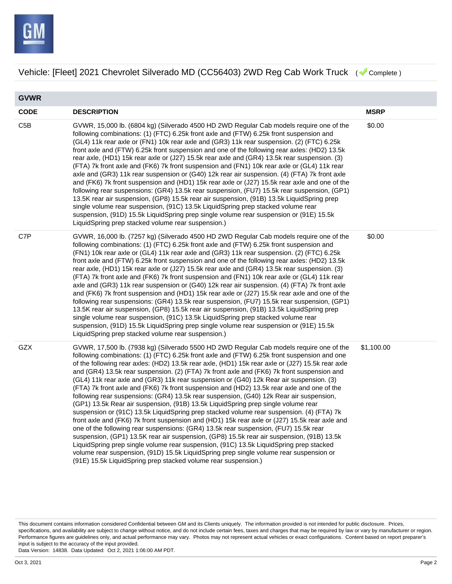

**GVWR CODE DESCRIPTION MSRP** C5B GVWR, 15,000 lb. (6804 kg) (Silverado 4500 HD 2WD Regular Cab models require one of the following combinations: (1) (FTC) 6.25k front axle and (FTW) 6.25k front suspension and (GL4) 11k rear axle or (FN1) 10k rear axle and (GR3) 11k rear suspension. (2) (FTC) 6.25k front axle and (FTW) 6.25k front suspension and one of the following rear axles: (HD2) 13.5k rear axle, (HD1) 15k rear axle or (J27) 15.5k rear axle and (GR4) 13.5k rear suspension. (3) (FTA) 7k front axle and (FK6) 7k front suspension and (FN1) 10k rear axle or (GL4) 11k rear axle and (GR3) 11k rear suspension or (G40) 12k rear air suspension. (4) (FTA) 7k front axle and (FK6) 7k front suspension and (HD1) 15k rear axle or (J27) 15.5k rear axle and one of the following rear suspensions: (GR4) 13.5k rear suspension, (FU7) 15.5k rear suspension, (GP1) 13.5K rear air suspension, (GP8) 15.5k rear air suspension, (91B) 13.5k LiquidSpring prep single volume rear suspension, (91C) 13.5k LiquidSpring prep stacked volume rear suspension, (91D) 15.5k LiquidSpring prep single volume rear suspension or (91E) 15.5k LiquidSpring prep stacked volume rear suspension.) \$0.00 C7P GVWR, 16,000 lb. (7257 kg) (Silverado 4500 HD 2WD Regular Cab models require one of the following combinations: (1) (FTC) 6.25k front axle and (FTW) 6.25k front suspension and (FN1) 10k rear axle or (GL4) 11k rear axle and (GR3) 11k rear suspension. (2) (FTC) 6.25k front axle and (FTW) 6.25k front suspension and one of the following rear axles: (HD2) 13.5k rear axle, (HD1) 15k rear axle or (J27) 15.5k rear axle and (GR4) 13.5k rear suspension. (3) (FTA) 7k front axle and (FK6) 7k front suspension and (FN1) 10k rear axle or (GL4) 11k rear axle and (GR3) 11k rear suspension or (G40) 12k rear air suspension. (4) (FTA) 7k front axle and (FK6) 7k front suspension and (HD1) 15k rear axle or (J27) 15.5k rear axle and one of the following rear suspensions: (GR4) 13.5k rear suspension, (FU7) 15.5k rear suspension, (GP1) 13.5K rear air suspension, (GP8) 15.5k rear air suspension, (91B) 13.5k LiquidSpring prep single volume rear suspension, (91C) 13.5k LiquidSpring prep stacked volume rear suspension, (91D) 15.5k LiquidSpring prep single volume rear suspension or (91E) 15.5k LiquidSpring prep stacked volume rear suspension.) \$0.00 GZX GVWR, 17,500 lb. (7938 kg) (Silverado 5500 HD 2WD Regular Cab models require one of the following combinations: (1) (FTC) 6.25k front axle and (FTW) 6.25k front suspension and one of the following rear axles: (HD2) 13.5k rear axle, (HD1) 15k rear axle or (J27) 15.5k rear axle and (GR4) 13.5k rear suspension. (2) (FTA) 7k front axle and (FK6) 7k front suspension and (GL4) 11k rear axle and (GR3) 11k rear suspension or (G40) 12k Rear air suspension. (3) (FTA) 7k front axle and (FK6) 7k front suspension and (HD2) 13.5k rear axle and one of the following rear suspensions: (GR4) 13.5k rear suspension, (G40) 12k Rear air suspension, (GP1) 13.5k Rear air suspension, (91B) 13.5k LiquidSpring prep single volume rear suspension or (91C) 13.5k LiquidSpring prep stacked volume rear suspension. (4) (FTA) 7k front axle and (FK6) 7k front suspension and (HD1) 15k rear axle or (J27) 15.5k rear axle and one of the following rear suspensions: (GR4) 13.5k rear suspension, (FU7) 15.5k rear suspension, (GP1) 13.5K rear air suspension, (GP8) 15.5k rear air suspension, (91B) 13.5k LiquidSpring prep single volume rear suspension, (91C) 13.5k LiquidSpring prep stacked volume rear suspension, (91D) 15.5k LiquidSpring prep single volume rear suspension or (91E) 15.5k LiquidSpring prep stacked volume rear suspension.) \$1,100.00

This document contains information considered Confidential between GM and its Clients uniquely. The information provided is not intended for public disclosure. Prices, specifications, and availability are subject to change without notice, and do not include certain fees, taxes and charges that may be required by law or vary by manufacturer or region. Performance figures are guidelines only, and actual performance may vary. Photos may not represent actual vehicles or exact configurations. Content based on report preparer's input is subject to the accuracy of the input provided.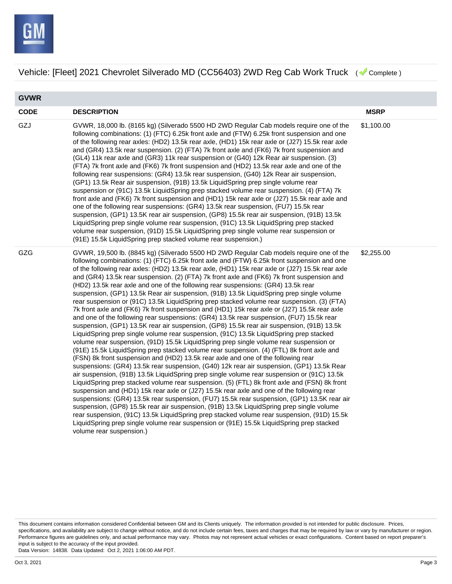

**GVWR CODE DESCRIPTION MSRP** GZJ GVWR, 18,000 lb. (8165 kg) (Silverado 5500 HD 2WD Regular Cab models require one of the following combinations: (1) (FTC) 6.25k front axle and (FTW) 6.25k front suspension and one of the following rear axles: (HD2) 13.5k rear axle, (HD1) 15k rear axle or (J27) 15.5k rear axle and (GR4) 13.5k rear suspension. (2) (FTA) 7k front axle and (FK6) 7k front suspension and (GL4) 11k rear axle and (GR3) 11k rear suspension or (G40) 12k Rear air suspension. (3) (FTA) 7k front axle and (FK6) 7k front suspension and (HD2) 13.5k rear axle and one of the following rear suspensions: (GR4) 13.5k rear suspension, (G40) 12k Rear air suspension, (GP1) 13.5k Rear air suspension, (91B) 13.5k LiquidSpring prep single volume rear suspension or (91C) 13.5k LiquidSpring prep stacked volume rear suspension. (4) (FTA) 7k front axle and (FK6) 7k front suspension and (HD1) 15k rear axle or (J27) 15.5k rear axle and one of the following rear suspensions: (GR4) 13.5k rear suspension, (FU7) 15.5k rear suspension, (GP1) 13.5K rear air suspension, (GP8) 15.5k rear air suspension, (91B) 13.5k LiquidSpring prep single volume rear suspension, (91C) 13.5k LiquidSpring prep stacked volume rear suspension, (91D) 15.5k LiquidSpring prep single volume rear suspension or (91E) 15.5k LiquidSpring prep stacked volume rear suspension.) \$1,100.00 GZG GVWR, 19,500 lb. (8845 kg) (Silverado 5500 HD 2WD Regular Cab models require one of the following combinations: (1) (FTC) 6.25k front axle and (FTW) 6.25k front suspension and one of the following rear axles: (HD2) 13.5k rear axle, (HD1) 15k rear axle or (J27) 15.5k rear axle and (GR4) 13.5k rear suspension. (2) (FTA) 7k front axle and (FK6) 7k front suspension and (HD2) 13.5k rear axle and one of the following rear suspensions: (GR4) 13.5k rear suspension, (GP1) 13.5k Rear air suspension, (91B) 13.5k LiquidSpring prep single volume rear suspension or (91C) 13.5k LiquidSpring prep stacked volume rear suspension. (3) (FTA) 7k front axle and (FK6) 7k front suspension and (HD1) 15k rear axle or (J27) 15.5k rear axle and one of the following rear suspensions: (GR4) 13.5k rear suspension, (FU7) 15.5k rear suspension, (GP1) 13.5K rear air suspension, (GP8) 15.5k rear air suspension, (91B) 13.5k LiquidSpring prep single volume rear suspension, (91C) 13.5k LiquidSpring prep stacked volume rear suspension, (91D) 15.5k LiquidSpring prep single volume rear suspension or (91E) 15.5k LiquidSpring prep stacked volume rear suspension. (4) (FTL) 8k front axle and (FSN) 8k front suspension and (HD2) 13.5k rear axle and one of the following rear suspensions: (GR4) 13.5k rear suspension, (G40) 12k rear air suspension, (GP1) 13.5k Rear air suspension, (91B) 13.5k LiquidSpring prep single volume rear suspension or (91C) 13.5k LiquidSpring prep stacked volume rear suspension. (5) (FTL) 8k front axle and (FSN) 8k front suspension and (HD1) 15k rear axle or (J27) 15.5k rear axle and one of the following rear suspensions: (GR4) 13.5k rear suspension, (FU7) 15.5k rear suspension, (GP1) 13.5K rear air suspension, (GP8) 15.5k rear air suspension, (91B) 13.5k LiquidSpring prep single volume rear suspension, (91C) 13.5k LiquidSpring prep stacked volume rear suspension, (91D) 15.5k LiquidSpring prep single volume rear suspension or (91E) 15.5k LiquidSpring prep stacked volume rear suspension.) \$2,255.00

This document contains information considered Confidential between GM and its Clients uniquely. The information provided is not intended for public disclosure. Prices, specifications, and availability are subject to change without notice, and do not include certain fees, taxes and charges that may be required by law or vary by manufacturer or region. Performance figures are guidelines only, and actual performance may vary. Photos may not represent actual vehicles or exact configurations. Content based on report preparer's input is subject to the accuracy of the input provided.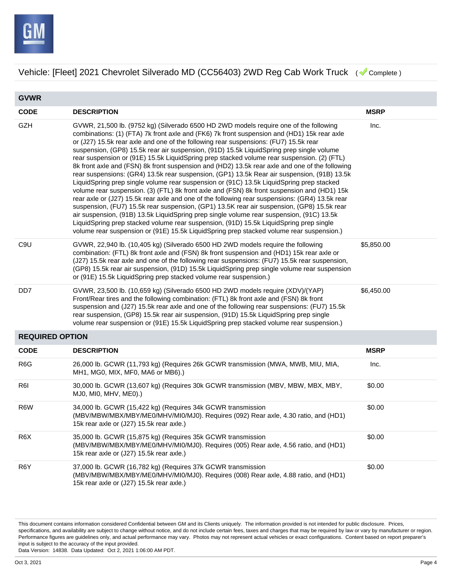

| <b>GVWR</b>            |                                                                                                                                                                                                                                                                                                                                                                                                                                                                                                                                                                                                                                                                                                                                                                                                                                                                                                                                                                                                                                                                                                                                                                                                                                                                                                                                                      |             |  |
|------------------------|------------------------------------------------------------------------------------------------------------------------------------------------------------------------------------------------------------------------------------------------------------------------------------------------------------------------------------------------------------------------------------------------------------------------------------------------------------------------------------------------------------------------------------------------------------------------------------------------------------------------------------------------------------------------------------------------------------------------------------------------------------------------------------------------------------------------------------------------------------------------------------------------------------------------------------------------------------------------------------------------------------------------------------------------------------------------------------------------------------------------------------------------------------------------------------------------------------------------------------------------------------------------------------------------------------------------------------------------------|-------------|--|
| <b>CODE</b>            | <b>DESCRIPTION</b>                                                                                                                                                                                                                                                                                                                                                                                                                                                                                                                                                                                                                                                                                                                                                                                                                                                                                                                                                                                                                                                                                                                                                                                                                                                                                                                                   | <b>MSRP</b> |  |
| <b>GZH</b>             | GVWR, 21,500 lb. (9752 kg) (Silverado 6500 HD 2WD models require one of the following<br>combinations: (1) (FTA) 7k front axle and (FK6) 7k front suspension and (HD1) 15k rear axle<br>or (J27) 15.5k rear axle and one of the following rear suspensions: (FU7) 15.5k rear<br>suspension, (GP8) 15.5k rear air suspension, (91D) 15.5k LiquidSpring prep single volume<br>rear suspension or (91E) 15.5k LiquidSpring prep stacked volume rear suspension. (2) (FTL)<br>8k front axle and (FSN) 8k front suspension and (HD2) 13.5k rear axle and one of the following<br>rear suspensions: (GR4) 13.5k rear suspension, (GP1) 13.5k Rear air suspension, (91B) 13.5k<br>LiquidSpring prep single volume rear suspension or (91C) 13.5k LiquidSpring prep stacked<br>volume rear suspension. (3) (FTL) 8k front axle and (FSN) 8k front suspension and (HD1) 15k<br>rear axle or (J27) 15.5k rear axle and one of the following rear suspensions: (GR4) 13.5k rear<br>suspension, (FU7) 15.5k rear suspension, (GP1) 13.5K rear air suspension, (GP8) 15.5k rear<br>air suspension, (91B) 13.5k LiquidSpring prep single volume rear suspension, (91C) 13.5k<br>LiquidSpring prep stacked volume rear suspension, (91D) 15.5k LiquidSpring prep single<br>volume rear suspension or (91E) 15.5k LiquidSpring prep stacked volume rear suspension.) | Inc.        |  |
| C <sub>9</sub> U       | GVWR, 22,940 lb. (10,405 kg) (Silverado 6500 HD 2WD models require the following<br>combination: (FTL) 8k front axle and (FSN) 8k front suspension and (HD1) 15k rear axle or<br>(J27) 15.5k rear axle and one of the following rear suspensions: (FU7) 15.5k rear suspension,<br>(GP8) 15.5k rear air suspension, (91D) 15.5k LiquidSpring prep single volume rear suspension<br>or (91E) 15.5k LiquidSpring prep stacked volume rear suspension.)                                                                                                                                                                                                                                                                                                                                                                                                                                                                                                                                                                                                                                                                                                                                                                                                                                                                                                  | \$5,850.00  |  |
| DD7                    | GVWR, 23,500 lb. (10,659 kg) (Silverado 6500 HD 2WD models require (XDV)/(YAP)<br>Front/Rear tires and the following combination: (FTL) 8k front axle and (FSN) 8k front<br>suspension and (J27) 15.5k rear axle and one of the following rear suspensions: (FU7) 15.5k<br>rear suspension, (GP8) 15.5k rear air suspension, (91D) 15.5k LiquidSpring prep single<br>volume rear suspension or (91E) 15.5k LiquidSpring prep stacked volume rear suspension.)                                                                                                                                                                                                                                                                                                                                                                                                                                                                                                                                                                                                                                                                                                                                                                                                                                                                                        | \$6,450.00  |  |
| <b>REQUIRED OPTION</b> |                                                                                                                                                                                                                                                                                                                                                                                                                                                                                                                                                                                                                                                                                                                                                                                                                                                                                                                                                                                                                                                                                                                                                                                                                                                                                                                                                      |             |  |
| <b>CODE</b>            | <b>DESCRIPTION</b>                                                                                                                                                                                                                                                                                                                                                                                                                                                                                                                                                                                                                                                                                                                                                                                                                                                                                                                                                                                                                                                                                                                                                                                                                                                                                                                                   | <b>MSRP</b> |  |
| R <sub>6</sub> G       | 26,000 lb. GCWR (11,793 kg) (Requires 26k GCWR transmission (MWA, MWB, MIU, MIA,<br>MH1, MG0, MIX, MF0, MA6 or MB6).)                                                                                                                                                                                                                                                                                                                                                                                                                                                                                                                                                                                                                                                                                                                                                                                                                                                                                                                                                                                                                                                                                                                                                                                                                                | Inc.        |  |
| R <sub>6</sub>         | 30,000 lb. GCWR (13,607 kg) (Requires 30k GCWR transmission (MBV, MBW, MBX, MBY,<br>MJ0, MI0, MHV, ME0).)                                                                                                                                                                                                                                                                                                                                                                                                                                                                                                                                                                                                                                                                                                                                                                                                                                                                                                                                                                                                                                                                                                                                                                                                                                            | \$0.00      |  |
| R6W                    | 34,000 lb. GCWR (15,422 kg) (Requires 34k GCWR transmission<br>(MBV/MBW/MBX/MBY/ME0/MHV/MI0/MJ0). Requires (092) Rear axle, 4.30 ratio, and (HD1)<br>15k rear axle or (J27) 15.5k rear axle.)                                                                                                                                                                                                                                                                                                                                                                                                                                                                                                                                                                                                                                                                                                                                                                                                                                                                                                                                                                                                                                                                                                                                                        | \$0.00      |  |
| R <sub>6</sub> X       | 35,000 lb. GCWR (15,875 kg) (Requires 35k GCWR transmission<br>(MBV/MBW/MBX/MBY/ME0/MHV/MI0/MJ0). Requires (005) Rear axle, 4.56 ratio, and (HD1)<br>15k rear axle or (J27) 15.5k rear axle.)                                                                                                                                                                                                                                                                                                                                                                                                                                                                                                                                                                                                                                                                                                                                                                                                                                                                                                                                                                                                                                                                                                                                                        | \$0.00      |  |
| R6Y                    | 37,000 lb. GCWR (16,782 kg) (Requires 37k GCWR transmission<br>(MBV/MBW/MBX/MBY/ME0/MHV/MI0/MJ0). Requires (008) Rear axle, 4.88 ratio, and (HD1)<br>15k rear axle or (J27) 15.5k rear axle.)                                                                                                                                                                                                                                                                                                                                                                                                                                                                                                                                                                                                                                                                                                                                                                                                                                                                                                                                                                                                                                                                                                                                                        | \$0.00      |  |

This document contains information considered Confidential between GM and its Clients uniquely. The information provided is not intended for public disclosure. Prices, specifications, and availability are subject to change without notice, and do not include certain fees, taxes and charges that may be required by law or vary by manufacturer or region. Performance figures are guidelines only, and actual performance may vary. Photos may not represent actual vehicles or exact configurations. Content based on report preparer's input is subject to the accuracy of the input provided. Data Version: 14838. Data Updated: Oct 2, 2021 1:06:00 AM PDT.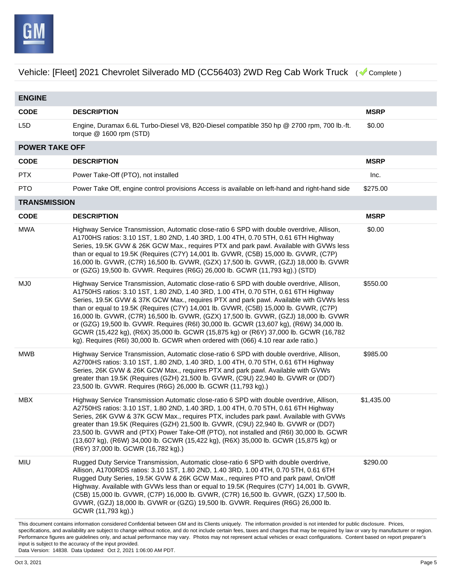

This document contains information considered Confidential between GM and its Clients uniquely. The information provided is not intended for public disclosure. Prices, **ENGINE CODE DESCRIPTION MSRP** L5D Engine, Duramax 6.6L Turbo-Diesel V8, B20-Diesel compatible 350 hp @ 2700 rpm, 700 lb.-ft. torque @ 1600 rpm (STD) \$0.00 **POWER TAKE OFF CODE DESCRIPTION MSRP** PTX Power Take-Off (PTO), not installed Inc. PTO Power Take Off, engine control provisions Access is available on left-hand and right-hand side \$275.00 **TRANSMISSION CODE DESCRIPTION MSRP** MWA Highway Service Transmission, Automatic close-ratio 6 SPD with double overdrive, Allison, A1700HS ratios: 3.10 1ST, 1.80 2ND, 1.40 3RD, 1.00 4TH, 0.70 5TH, 0.61 6TH Highway Series, 19.5K GVW & 26K GCW Max., requires PTX and park pawl. Available with GVWs less than or equal to 19.5K (Requires (C7Y) 14,001 lb. GVWR, (C5B) 15,000 lb. GVWR, (C7P) 16,000 lb. GVWR, (C7R) 16,500 lb. GVWR, (GZX) 17,500 lb. GVWR, (GZJ) 18,000 lb. GVWR or (GZG) 19,500 lb. GVWR. Requires (R6G) 26,000 lb. GCWR (11,793 kg).) (STD) \$0.00 MJ0 Highway Service Transmission, Automatic close-ratio 6 SPD with double overdrive, Allison, A1750HS ratios: 3.10 1ST, 1.80 2ND, 1.40 3RD, 1.00 4TH, 0.70 5TH, 0.61 6TH Highway Series, 19.5K GVW & 37K GCW Max., requires PTX and park pawl. Available with GVWs less than or equal to 19.5K (Requires (C7Y) 14,001 lb. GVWR, (C5B) 15,000 lb. GVWR, (C7P) 16,000 lb. GVWR, (C7R) 16,500 lb. GVWR, (GZX) 17,500 lb. GVWR, (GZJ) 18,000 lb. GVWR or (GZG) 19,500 lb. GVWR. Requires (R6I) 30,000 lb. GCWR (13,607 kg), (R6W) 34,000 lb. GCWR (15,422 kg), (R6X) 35,000 lb. GCWR (15,875 kg) or (R6Y) 37,000 lb. GCWR (16,782 kg). Requires (R6I) 30,000 lb. GCWR when ordered with (066) 4.10 rear axle ratio.) \$550.00 MWB Highway Service Transmission, Automatic close-ratio 6 SPD with double overdrive, Allison, A2700HS ratios: 3.10 1ST, 1.80 2ND, 1.40 3RD, 1.00 4TH, 0.70 5TH, 0.61 6TH Highway Series, 26K GVW & 26K GCW Max., requires PTX and park pawl. Available with GVWs greater than 19.5K (Requires (GZH) 21,500 lb. GVWR, (C9U) 22,940 lb. GVWR or (DD7) 23,500 lb. GVWR. Requires (R6G) 26,000 lb. GCWR (11,793 kg).) \$985.00 MBX Highway Service Transmission Automatic close-ratio 6 SPD with double overdrive, Allison, A2750HS ratios: 3.10 1ST, 1.80 2ND, 1.40 3RD, 1.00 4TH, 0.70 5TH, 0.61 6TH Highway Series, 26K GVW & 37K GCW Max., requires PTX, includes park pawl. Available with GVWs greater than 19.5K (Requires (GZH) 21,500 lb. GVWR, (C9U) 22,940 lb. GVWR or (DD7) 23,500 lb. GVWR and (PTX) Power Take-Off (PTO), not installed and (R6I) 30,000 lb. GCWR (13,607 kg), (R6W) 34,000 lb. GCWR (15,422 kg), (R6X) 35,000 lb. GCWR (15,875 kg) or (R6Y) 37,000 lb. GCWR (16,782 kg).) \$1,435.00 MIU Rugged Duty Service Transmission, Automatic close-ratio 6 SPD with double overdrive, Allison, A1700RDS ratios: 3.10 1ST, 1.80 2ND, 1.40 3RD, 1.00 4TH, 0.70 5TH, 0.61 6TH Rugged Duty Series, 19.5K GVW & 26K GCW Max., requires PTO and park pawl, On/Off Highway. Available with GVWs less than or equal to 19.5K (Requires (C7Y) 14,001 lb. GVWR, (C5B) 15,000 lb. GVWR, (C7P) 16,000 lb. GVWR, (C7R) 16,500 lb. GVWR, (GZX) 17,500 lb. GVWR, (GZJ) 18,000 lb. GVWR or (GZG) 19,500 lb. GVWR. Requires (R6G) 26,000 lb. GCWR (11,793 kg).) \$290.00

specifications, and availability are subject to change without notice, and do not include certain fees, taxes and charges that may be required by law or vary by manufacturer or region. Performance figures are guidelines only, and actual performance may vary. Photos may not represent actual vehicles or exact configurations. Content based on report preparer's input is subject to the accuracy of the input provided.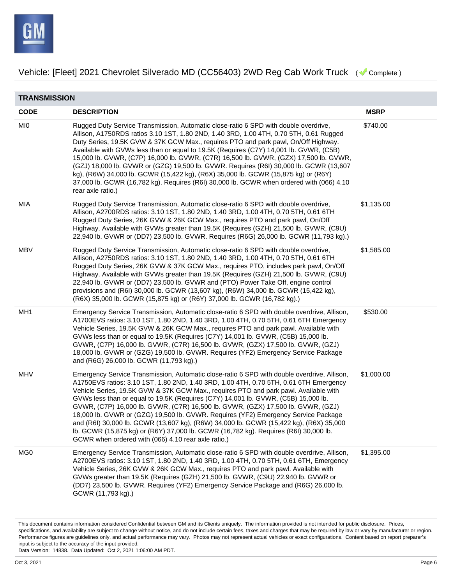

| <b>TRANSMISSION</b> |                                                                                                                                                                                                                                                                                                                                                                                                                                                                                                                                                                                                                                                                                                                                                                                       |             |  |
|---------------------|---------------------------------------------------------------------------------------------------------------------------------------------------------------------------------------------------------------------------------------------------------------------------------------------------------------------------------------------------------------------------------------------------------------------------------------------------------------------------------------------------------------------------------------------------------------------------------------------------------------------------------------------------------------------------------------------------------------------------------------------------------------------------------------|-------------|--|
| <b>CODE</b>         | <b>DESCRIPTION</b>                                                                                                                                                                                                                                                                                                                                                                                                                                                                                                                                                                                                                                                                                                                                                                    | <b>MSRP</b> |  |
| <b>MIO</b>          | Rugged Duty Service Transmission, Automatic close-ratio 6 SPD with double overdrive,<br>Allison, A1750RDS ratios 3.10 1ST, 1.80 2ND, 1.40 3RD, 1.00 4TH, 0.70 5TH, 0.61 Rugged<br>Duty Series, 19.5K GVW & 37K GCW Max., requires PTO and park pawl, On/Off Highway.<br>Available with GVWs less than or equal to 19.5K (Requires (C7Y) 14,001 lb. GVWR, (C5B)<br>15,000 lb. GVWR, (C7P) 16,000 lb. GVWR, (C7R) 16,500 lb. GVWR, (GZX) 17,500 lb. GVWR,<br>(GZJ) 18,000 lb. GVWR or (GZG) 19,500 lb. GVWR. Requires (R6I) 30,000 lb. GCWR (13,607<br>kg), (R6W) 34,000 lb. GCWR (15,422 kg), (R6X) 35,000 lb. GCWR (15,875 kg) or (R6Y)<br>37,000 lb. GCWR (16,782 kg). Requires (R6I) 30,000 lb. GCWR when ordered with (066) 4.10<br>rear axle ratio.)                              | \$740.00    |  |
| MIA                 | Rugged Duty Service Transmission, Automatic close-ratio 6 SPD with double overdrive,<br>Allison, A2700RDS ratios: 3.10 1ST, 1.80 2ND, 1.40 3RD, 1.00 4TH, 0.70 5TH, 0.61 6TH<br>Rugged Duty Series, 26K GVW & 26K GCW Max., requires PTO and park pawl, On/Off<br>Highway. Available with GVWs greater than 19.5K (Requires (GZH) 21,500 lb. GVWR, (C9U)<br>22,940 lb. GVWR or (DD7) 23,500 lb. GVWR. Requires (R6G) 26,000 lb. GCWR (11,793 kg).)                                                                                                                                                                                                                                                                                                                                    | \$1,135.00  |  |
| MBV                 | Rugged Duty Service Transmission, Automatic close-ratio 6 SPD with double overdrive,<br>Allison, A2750RDS ratios: 3.10 1ST, 1.80 2ND, 1.40 3RD, 1.00 4TH, 0.70 5TH, 0.61 6TH<br>Rugged Duty Series, 26K GVW & 37K GCW Max., requires PTO, includes park pawl, On/Off<br>Highway. Available with GVWs greater than 19.5K (Requires (GZH) 21,500 lb. GVWR, (C9U)<br>22,940 lb. GVWR or (DD7) 23,500 lb. GVWR and (PTO) Power Take Off, engine control<br>provisions and (R6I) 30,000 lb. GCWR (13,607 kg), (R6W) 34,000 lb. GCWR (15,422 kg),<br>(R6X) 35,000 lb. GCWR (15,875 kg) or (R6Y) 37,000 lb. GCWR (16,782 kg).)                                                                                                                                                               | \$1,585.00  |  |
| MH1                 | Emergency Service Transmission, Automatic close-ratio 6 SPD with double overdrive, Allison,<br>A1700EVS ratios: 3.10 1ST, 1.80 2ND, 1.40 3RD, 1.00 4TH, 0.70 5TH, 0.61 6TH Emergency<br>Vehicle Series, 19.5K GVW & 26K GCW Max., requires PTO and park pawl. Available with<br>GVWs less than or equal to 19.5K (Requires (C7Y) 14,001 lb. GVWR, (C5B) 15,000 lb.<br>GVWR, (C7P) 16,000 lb. GVWR, (C7R) 16,500 lb. GVWR, (GZX) 17,500 lb. GVWR, (GZJ)<br>18,000 lb. GVWR or (GZG) 19,500 lb. GVWR. Requires (YF2) Emergency Service Package<br>and (R6G) 26,000 lb. GCWR (11,793 kg).)                                                                                                                                                                                               | \$530.00    |  |
| MHV                 | Emergency Service Transmission, Automatic close-ratio 6 SPD with double overdrive, Allison,<br>A1750EVS ratios: 3.10 1ST, 1.80 2ND, 1.40 3RD, 1.00 4TH, 0.70 5TH, 0.61 6TH Emergency<br>Vehicle Series, 19.5K GVW & 37K GCW Max., requires PTO and park pawl. Available with<br>GVWs less than or equal to 19.5K (Requires (C7Y) 14,001 lb. GVWR, (C5B) 15,000 lb.<br>GVWR, (C7P) 16,000 lb. GVWR, (C7R) 16,500 lb. GVWR, (GZX) 17,500 lb. GVWR, (GZJ)<br>18,000 lb. GVWR or (GZG) 19,500 lb. GVWR. Requires (YF2) Emergency Service Package<br>and (R6I) 30,000 lb. GCWR (13,607 kg), (R6W) 34,000 lb. GCWR (15,422 kg), (R6X) 35,000<br>Ib. GCWR (15,875 kg) or (R6Y) 37,000 lb. GCWR (16,782 kg). Requires (R6I) 30,000 lb.<br>GCWR when ordered with (066) 4.10 rear axle ratio.) | \$1,000.00  |  |
| MG <sub>0</sub>     | Emergency Service Transmission, Automatic close-ratio 6 SPD with double overdrive, Allison,<br>A2700EVS ratios: 3.10 1ST, 1.80 2ND, 1.40 3RD, 1.00 4TH, 0.70 5TH, 0.61 6TH, Emergency<br>Vehicle Series, 26K GVW & 26K GCW Max., requires PTO and park pawl. Available with<br>GVWs greater than 19.5K (Requires (GZH) 21,500 lb. GVWR, (C9U) 22,940 lb. GVWR or<br>(DD7) 23,500 lb. GVWR. Requires (YF2) Emergency Service Package and (R6G) 26,000 lb.<br>GCWR (11,793 kg).)                                                                                                                                                                                                                                                                                                        | \$1,395.00  |  |

This document contains information considered Confidential between GM and its Clients uniquely. The information provided is not intended for public disclosure. Prices, specifications, and availability are subject to change without notice, and do not include certain fees, taxes and charges that may be required by law or vary by manufacturer or region. Performance figures are guidelines only, and actual performance may vary. Photos may not represent actual vehicles or exact configurations. Content based on report preparer's input is subject to the accuracy of the input provided.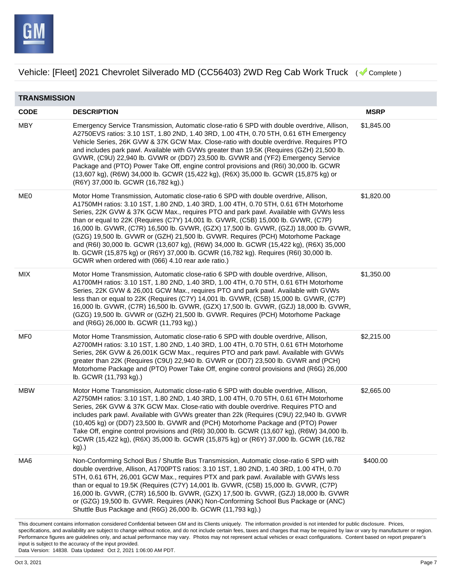

| <b>TRANSMISSION</b> |                                                                                                                                                                                                                                                                                                                                                                                                                                                                                                                                                                                                                                                                                                                                                                                  |             |  |
|---------------------|----------------------------------------------------------------------------------------------------------------------------------------------------------------------------------------------------------------------------------------------------------------------------------------------------------------------------------------------------------------------------------------------------------------------------------------------------------------------------------------------------------------------------------------------------------------------------------------------------------------------------------------------------------------------------------------------------------------------------------------------------------------------------------|-------------|--|
| <b>CODE</b>         | <b>DESCRIPTION</b>                                                                                                                                                                                                                                                                                                                                                                                                                                                                                                                                                                                                                                                                                                                                                               | <b>MSRP</b> |  |
| <b>MBY</b>          | Emergency Service Transmission, Automatic close-ratio 6 SPD with double overdrive, Allison,<br>A2750EVS ratios: 3.10 1ST, 1.80 2ND, 1.40 3RD, 1.00 4TH, 0.70 5TH, 0.61 6TH Emergency<br>Vehicle Series, 26K GVW & 37K GCW Max. Close-ratio with double overdrive. Requires PTO<br>and includes park pawl. Available with GVWs greater than 19.5K (Requires (GZH) 21,500 lb.<br>GVWR, (C9U) 22,940 lb. GVWR or (DD7) 23,500 lb. GVWR and (YF2) Emergency Service<br>Package and (PTO) Power Take Off, engine control provisions and (R6I) 30,000 lb. GCWR<br>(13,607 kg), (R6W) 34,000 lb. GCWR (15,422 kg), (R6X) 35,000 lb. GCWR (15,875 kg) or<br>(R6Y) 37,000 lb. GCWR (16,782 kg).)                                                                                          | \$1,845.00  |  |
| ME0                 | Motor Home Transmission, Automatic close-ratio 6 SPD with double overdrive, Allison,<br>A1750MH ratios: 3.10 1ST, 1.80 2ND, 1.40 3RD, 1.00 4TH, 0.70 5TH, 0.61 6TH Motorhome<br>Series, 22K GVW & 37K GCW Max., requires PTO and park pawl. Available with GVWs less<br>than or equal to 22K (Requires (C7Y) 14,001 lb. GVWR, (C5B) 15,000 lb. GVWR, (C7P)<br>16,000 lb. GVWR, (C7R) 16,500 lb. GVWR, (GZX) 17,500 lb. GVWR, (GZJ) 18,000 lb. GVWR,<br>(GZG) 19,500 lb. GVWR or (GZH) 21,500 lb. GVWR. Requires (PCH) Motorhome Package<br>and (R6I) 30,000 lb. GCWR (13,607 kg), (R6W) 34,000 lb. GCWR (15,422 kg), (R6X) 35,000<br>Ib. GCWR (15,875 kg) or (R6Y) 37,000 lb. GCWR (16,782 kg). Requires (R6I) 30,000 lb.<br>GCWR when ordered with (066) 4.10 rear axle ratio.) | \$1,820.00  |  |
| MIX                 | Motor Home Transmission, Automatic close-ratio 6 SPD with double overdrive, Allison,<br>A1700MH ratios: 3.10 1ST, 1.80 2ND, 1.40 3RD, 1.00 4TH, 0.70 5TH, 0.61 6TH Motorhome<br>Series, 22K GVW & 26,001 GCW Max., requires PTO and park pawl. Available with GVWs<br>less than or equal to 22K (Requires (C7Y) 14,001 lb. GVWR, (C5B) 15,000 lb. GVWR, (C7P)<br>16,000 lb. GVWR, (C7R) 16,500 lb. GVWR, (GZX) 17,500 lb. GVWR, (GZJ) 18,000 lb. GVWR,<br>(GZG) 19,500 lb. GVWR or (GZH) 21,500 lb. GVWR. Requires (PCH) Motorhome Package<br>and (R6G) 26,000 lb. GCWR (11,793 kg).)                                                                                                                                                                                            | \$1,350.00  |  |
| MF <sub>0</sub>     | Motor Home Transmission, Automatic close-ratio 6 SPD with double overdrive, Allison,<br>A2700MH ratios: 3.10 1ST, 1.80 2ND, 1.40 3RD, 1.00 4TH, 0.70 5TH, 0.61 6TH Motorhome<br>Series, 26K GVW & 26,001K GCW Max., requires PTO and park pawl. Available with GVWs<br>greater than 22K (Requires (C9U) 22,940 lb. GVWR or (DD7) 23,500 lb. GVWR and (PCH)<br>Motorhome Package and (PTO) Power Take Off, engine control provisions and (R6G) 26,000<br>lb. GCWR (11,793 kg).)                                                                                                                                                                                                                                                                                                   | \$2,215.00  |  |
| MBW                 | Motor Home Transmission, Automatic close-ratio 6 SPD with double overdrive, Allison,<br>A2750MH ratios: 3.10 1ST, 1.80 2ND, 1.40 3RD, 1.00 4TH, 0.70 5TH, 0.61 6TH Motorhome<br>Series, 26K GVW & 37K GCW Max. Close-ratio with double overdrive. Requires PTO and<br>includes park pawl. Available with GVWs greater than 22k (Requires (C9U) 22,940 lb. GVWR<br>(10,405 kg) or (DD7) 23,500 lb. GVWR and (PCH) Motorhome Package and (PTO) Power<br>Take Off, engine control provisions and (R6I) 30,000 lb. GCWR (13,607 kg), (R6W) 34,000 lb.<br>GCWR (15,422 kg), (R6X) 35,000 lb. GCWR (15,875 kg) or (R6Y) 37,000 lb. GCWR (16,782<br>kg).)                                                                                                                               | \$2,665.00  |  |
| MA6                 | Non-Conforming School Bus / Shuttle Bus Transmission, Automatic close-ratio 6 SPD with<br>double overdrive, Allison, A1700PTS ratios: 3.10 1ST, 1.80 2ND, 1.40 3RD, 1.00 4TH, 0.70<br>5TH, 0.61 6TH, 26,001 GCW Max., requires PTX and park pawl. Available with GVWs less<br>than or equal to 19.5K (Requires (C7Y) 14,001 lb. GVWR, (C5B) 15,000 lb. GVWR, (C7P)<br>16,000 lb. GVWR, (C7R) 16,500 lb. GVWR, (GZX) 17,500 lb. GVWR, (GZJ) 18,000 lb. GVWR<br>or (GZG) 19,500 lb. GVWR. Requires (ANK) Non-Conforming School Bus Package or (ANC)<br>Shuttle Bus Package and (R6G) 26,000 lb. GCWR (11,793 kg).)                                                                                                                                                                 | \$400.00    |  |
|                     | This document contains information considered Confidential between GM and its Clients uniquely. The information provided is not intended for public disclosure. Prices,                                                                                                                                                                                                                                                                                                                                                                                                                                                                                                                                                                                                          |             |  |

This document contains information considered Confidential between GM and its Clients uniquely. The information provided is not intended for public disclosure. Prices, specifications, and availability are subject to change without notice, and do not include certain fees, taxes and charges that may be required by law or vary by manufacturer or region. Performance figures are guidelines only, and actual performance may vary. Photos may not represent actual vehicles or exact configurations. Content based on report preparer's input is subject to the accuracy of the input provided.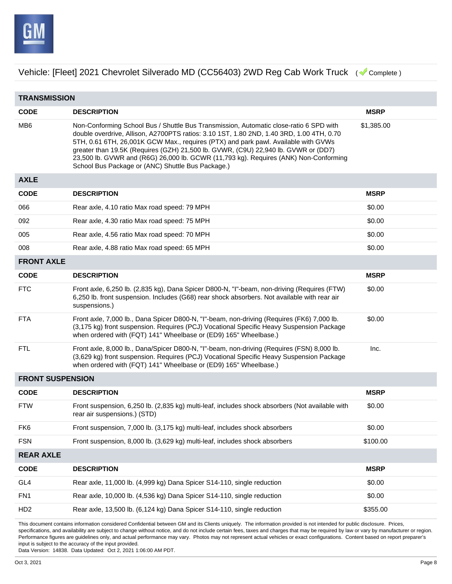

**TRANSMISSION CODE DESCRIPTION MSRP** MB6 Non-Conforming School Bus / Shuttle Bus Transmission, Automatic close-ratio 6 SPD with double overdrive, Allison, A2700PTS ratios: 3.10 1ST, 1.80 2ND, 1.40 3RD, 1.00 4TH, 0.70 5TH, 0.61 6TH, 26,001K GCW Max., requires (PTX) and park pawl. Available with GVWs greater than 19.5K (Requires (GZH) 21,500 lb. GVWR, (C9U) 22,940 lb. GVWR or (DD7) 23,500 lb. GVWR and (R6G) 26,000 lb. GCWR (11,793 kg). Requires (ANK) Non-Conforming School Bus Package or (ANC) Shuttle Bus Package.) \$1,385.00 **AXLE CODE DESCRIPTION MSRP** 066 Rear axle, 4.10 ratio Max road speed: 79 MPH \$0.00 092 Rear axle, 4.30 ratio Max road speed: 75 MPH \$0.00 005 Rear axle, 4.56 ratio Max road speed: 70 MPH \$0.00 008 Rear axle, 4.88 ratio Max road speed: 65 MPH  $$0.00$ **FRONT AXLE CODE DESCRIPTION MSRP** FTC Front axle, 6,250 lb. (2,835 kg), Dana Spicer D800-N, "I"-beam, non-driving (Requires (FTW) 6,250 lb. front suspension. Includes (G68) rear shock absorbers. Not available with rear air suspensions.) \$0.00 FTA Front axle, 7,000 lb., Dana Spicer D800-N, "I"-beam, non-driving (Requires (FK6) 7,000 lb. (3,175 kg) front suspension. Requires (PCJ) Vocational Specific Heavy Suspension Package when ordered with (FQT) 141" Wheelbase or (ED9) 165" Wheelbase.) \$0.00 FTL Front axle, 8,000 lb., Dana/Spicer D800-N, "I"-beam, non-driving (Requires (FSN) 8,000 lb. (3,629 kg) front suspension. Requires (PCJ) Vocational Specific Heavy Suspension Package when ordered with (FQT) 141" Wheelbase or (ED9) 165" Wheelbase.) Inc. **FRONT SUSPENSION CODE DESCRIPTION MSRP** FTW Front suspension, 6,250 lb. (2,835 kg) multi-leaf, includes shock absorbers (Not available with rear air suspensions.) (STD) \$0.00 FK6 Front suspension, 7,000 lb. (3,175 kg) multi-leaf, includes shock absorbers \$0.00 FSN Front suspension, 8,000 lb. (3,629 kg) multi-leaf, includes shock absorbers \$100.00 **REAR AXLE CODE DESCRIPTION MSRP** GL4 Rear axle, 11,000 lb. (4,999 kg) Dana Spicer S14-110, single reduction \$0.00 FN1 Rear axle, 10,000 lb. (4,536 kg) Dana Spicer S14-110, single reduction \$0.00 HD2 Rear axle, 13,500 lb. (6,124 kg) Dana Spicer S14-110, single reduction \$355.00

This document contains information considered Confidential between GM and its Clients uniquely. The information provided is not intended for public disclosure. Prices, specifications, and availability are subject to change without notice, and do not include certain fees, taxes and charges that may be required by law or vary by manufacturer or region. Performance figures are guidelines only, and actual performance may vary. Photos may not represent actual vehicles or exact configurations. Content based on report preparer's input is subject to the accuracy of the input provided.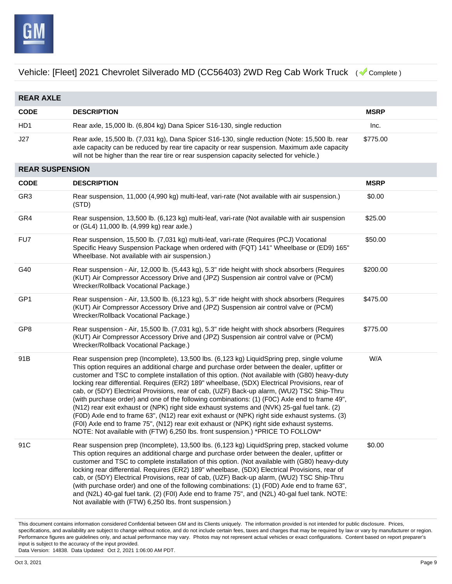

| <b>REAR AXLE</b>       |                                                                                                                                                                                                                                                                                                                                                                                                                                                                                                                                                                                                                                                                                                                                                                                                                                                                                                                                                                              |             |  |
|------------------------|------------------------------------------------------------------------------------------------------------------------------------------------------------------------------------------------------------------------------------------------------------------------------------------------------------------------------------------------------------------------------------------------------------------------------------------------------------------------------------------------------------------------------------------------------------------------------------------------------------------------------------------------------------------------------------------------------------------------------------------------------------------------------------------------------------------------------------------------------------------------------------------------------------------------------------------------------------------------------|-------------|--|
| <b>CODE</b>            | <b>DESCRIPTION</b>                                                                                                                                                                                                                                                                                                                                                                                                                                                                                                                                                                                                                                                                                                                                                                                                                                                                                                                                                           | <b>MSRP</b> |  |
| HD <sub>1</sub>        | Rear axle, 15,000 lb. (6,804 kg) Dana Spicer S16-130, single reduction                                                                                                                                                                                                                                                                                                                                                                                                                                                                                                                                                                                                                                                                                                                                                                                                                                                                                                       | Inc.        |  |
| J27                    | Rear axle, 15,500 lb. (7,031 kg), Dana Spicer S16-130, single reduction (Note: 15,500 lb. rear<br>axle capacity can be reduced by rear tire capacity or rear suspension. Maximum axle capacity<br>will not be higher than the rear tire or rear suspension capacity selected for vehicle.)                                                                                                                                                                                                                                                                                                                                                                                                                                                                                                                                                                                                                                                                                   | \$775.00    |  |
| <b>REAR SUSPENSION</b> |                                                                                                                                                                                                                                                                                                                                                                                                                                                                                                                                                                                                                                                                                                                                                                                                                                                                                                                                                                              |             |  |
| <b>CODE</b>            | <b>DESCRIPTION</b>                                                                                                                                                                                                                                                                                                                                                                                                                                                                                                                                                                                                                                                                                                                                                                                                                                                                                                                                                           | <b>MSRP</b> |  |
| GR <sub>3</sub>        | Rear suspension, 11,000 (4,990 kg) multi-leaf, vari-rate (Not available with air suspension.)<br>(STD)                                                                                                                                                                                                                                                                                                                                                                                                                                                                                                                                                                                                                                                                                                                                                                                                                                                                       | \$0.00      |  |
| GR4                    | Rear suspension, 13,500 lb. (6,123 kg) multi-leaf, vari-rate (Not available with air suspension<br>or (GL4) 11,000 lb. (4,999 kg) rear axle.)                                                                                                                                                                                                                                                                                                                                                                                                                                                                                                                                                                                                                                                                                                                                                                                                                                | \$25.00     |  |
| FU7                    | Rear suspension, 15,500 lb. (7,031 kg) multi-leaf, vari-rate (Requires (PCJ) Vocational<br>Specific Heavy Suspension Package when ordered with (FQT) 141" Wheelbase or (ED9) 165"<br>Wheelbase. Not available with air suspension.)                                                                                                                                                                                                                                                                                                                                                                                                                                                                                                                                                                                                                                                                                                                                          | \$50.00     |  |
| G40                    | Rear suspension - Air, 12,000 lb. (5,443 kg), 5.3" ride height with shock absorbers (Requires<br>(KUT) Air Compressor Accessory Drive and (JPZ) Suspension air control valve or (PCM)<br>Wrecker/Rollback Vocational Package.)                                                                                                                                                                                                                                                                                                                                                                                                                                                                                                                                                                                                                                                                                                                                               | \$200.00    |  |
| GP1                    | Rear suspension - Air, 13,500 lb. (6,123 kg), 5.3" ride height with shock absorbers (Requires<br>(KUT) Air Compressor Accessory Drive and (JPZ) Suspension air control valve or (PCM)<br>Wrecker/Rollback Vocational Package.)                                                                                                                                                                                                                                                                                                                                                                                                                                                                                                                                                                                                                                                                                                                                               | \$475.00    |  |
| GP8                    | Rear suspension - Air, 15,500 lb. (7,031 kg), 5.3" ride height with shock absorbers (Requires<br>(KUT) Air Compressor Accessory Drive and (JPZ) Suspension air control valve or (PCM)<br>Wrecker/Rollback Vocational Package.)                                                                                                                                                                                                                                                                                                                                                                                                                                                                                                                                                                                                                                                                                                                                               | \$775.00    |  |
| 91B                    | Rear suspension prep (Incomplete), 13,500 lbs. (6,123 kg) LiquidSpring prep, single volume<br>This option requires an additional charge and purchase order between the dealer, upfitter or<br>customer and TSC to complete installation of this option. (Not available with (G80) heavy-duty<br>locking rear differential. Requires (ER2) 189" wheelbase, (5DX) Electrical Provisions, rear of<br>cab, or (5DY) Electrical Provisions, rear of cab, (UZF) Back-up alarm, (WU2) TSC Ship-Thru<br>(with purchase order) and one of the following combinations: (1) (FOC) Axle end to frame 49",<br>(N12) rear exit exhaust or (NPK) right side exhaust systems and (NVK) 25-gal fuel tank. (2)<br>(FOD) Axle end to frame 63", (N12) rear exit exhaust or (NPK) right side exhaust systems. (3)<br>(F0I) Axle end to frame 75", (N12) rear exit exhaust or (NPK) right side exhaust systems.<br>NOTE: Not available with (FTW) 6,250 lbs. front suspension.) *PRICE TO FOLLOW* | W/A         |  |
| 91C                    | Rear suspension prep (Incomplete), 13,500 lbs. (6,123 kg) LiquidSpring prep, stacked volume<br>This option requires an additional charge and purchase order between the dealer, upfitter or<br>customer and TSC to complete installation of this option. (Not available with (G80) heavy-duty<br>locking rear differential. Requires (ER2) 189" wheelbase, (5DX) Electrical Provisions, rear of<br>cab, or (5DY) Electrical Provisions, rear of cab, (UZF) Back-up alarm, (WU2) TSC Ship-Thru<br>(with purchase order) and one of the following combinations: (1) (F0D) Axle end to frame 63",<br>and (N2L) 40-gal fuel tank. (2) (F0I) Axle end to frame 75", and (N2L) 40-gal fuel tank. NOTE:<br>Not available with (FTW) 6,250 lbs. front suspension.)                                                                                                                                                                                                                   | \$0.00      |  |

This document contains information considered Confidential between GM and its Clients uniquely. The information provided is not intended for public disclosure. Prices, specifications, and availability are subject to change without notice, and do not include certain fees, taxes and charges that may be required by law or vary by manufacturer or region. Performance figures are guidelines only, and actual performance may vary. Photos may not represent actual vehicles or exact configurations. Content based on report preparer's input is subject to the accuracy of the input provided.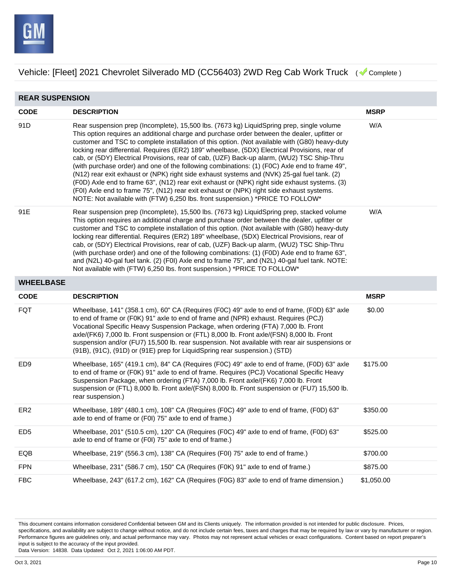

| <b>REAR SUSPENSION</b> |                                                                                                                                                                                                                                                                                                                                                                                                                                                                                                                                                                                                                                                                                                                                                                                                                                                                                                                                                                             |             |  |
|------------------------|-----------------------------------------------------------------------------------------------------------------------------------------------------------------------------------------------------------------------------------------------------------------------------------------------------------------------------------------------------------------------------------------------------------------------------------------------------------------------------------------------------------------------------------------------------------------------------------------------------------------------------------------------------------------------------------------------------------------------------------------------------------------------------------------------------------------------------------------------------------------------------------------------------------------------------------------------------------------------------|-------------|--|
| <b>CODE</b>            | <b>DESCRIPTION</b>                                                                                                                                                                                                                                                                                                                                                                                                                                                                                                                                                                                                                                                                                                                                                                                                                                                                                                                                                          | <b>MSRP</b> |  |
| 91D                    | Rear suspension prep (Incomplete), 15,500 lbs. (7673 kg) LiquidSpring prep, single volume<br>This option requires an additional charge and purchase order between the dealer, upfitter or<br>customer and TSC to complete installation of this option. (Not available with (G80) heavy-duty<br>locking rear differential. Requires (ER2) 189" wheelbase, (5DX) Electrical Provisions, rear of<br>cab, or (5DY) Electrical Provisions, rear of cab, (UZF) Back-up alarm, (WU2) TSC Ship-Thru<br>(with purchase order) and one of the following combinations: (1) (FOC) Axle end to frame 49",<br>(N12) rear exit exhaust or (NPK) right side exhaust systems and (NVK) 25-gal fuel tank. (2)<br>(F0D) Axle end to frame 63", (N12) rear exit exhaust or (NPK) right side exhaust systems. (3)<br>(F0I) Axle end to frame 75", (N12) rear exit exhaust or (NPK) right side exhaust systems.<br>NOTE: Not available with (FTW) 6,250 lbs. front suspension.) *PRICE TO FOLLOW* | W/A         |  |
| 91E                    | Rear suspension prep (Incomplete), 15,500 lbs. (7673 kg) LiquidSpring prep, stacked volume<br>This option requires an additional charge and purchase order between the dealer, upfitter or<br>customer and TSC to complete installation of this option. (Not available with (G80) heavy-duty<br>locking rear differential. Requires (ER2) 189" wheelbase, (5DX) Electrical Provisions, rear of<br>cab, or (5DY) Electrical Provisions, rear of cab, (UZF) Back-up alarm, (WU2) TSC Ship-Thru<br>(with purchase order) and one of the following combinations: (1) (F0D) Axle end to frame 63",<br>and (N2L) 40-gal fuel tank. (2) (F0I) Axle end to frame 75", and (N2L) 40-gal fuel tank. NOTE:<br>Not available with (FTW) 6,250 lbs. front suspension.) *PRICE TO FOLLOW*                                                                                                                                                                                                 | W/A         |  |
| <b>WHEELBASE</b>       |                                                                                                                                                                                                                                                                                                                                                                                                                                                                                                                                                                                                                                                                                                                                                                                                                                                                                                                                                                             |             |  |
|                        |                                                                                                                                                                                                                                                                                                                                                                                                                                                                                                                                                                                                                                                                                                                                                                                                                                                                                                                                                                             |             |  |
| <b>CODE</b>            | <b>DESCRIPTION</b>                                                                                                                                                                                                                                                                                                                                                                                                                                                                                                                                                                                                                                                                                                                                                                                                                                                                                                                                                          | <b>MSRP</b> |  |
| <b>FQT</b>             | Wheelbase, 141" (358.1 cm), 60" CA (Requires (F0C) 49" axle to end of frame, (F0D) 63" axle<br>to end of frame or (F0K) 91" axle to end of frame and (NPR) exhaust. Requires (PCJ)<br>Vocational Specific Heavy Suspension Package, when ordering (FTA) 7,000 lb. Front<br>axle/(FK6) 7,000 lb. Front suspension or (FTL) 8,000 lb. Front axle/(FSN) 8,000 lb. Front<br>suspension and/or (FU7) 15,500 lb. rear suspension. Not available with rear air suspensions or<br>(91B), (91C), (91D) or (91E) prep for LiquidSpring rear suspension.) (STD)                                                                                                                                                                                                                                                                                                                                                                                                                        | \$0.00      |  |
| ED <sub>9</sub>        | Wheelbase, 165" (419.1 cm), 84" CA (Requires (F0C) 49" axle to end of frame, (F0D) 63" axle<br>to end of frame or (F0K) 91" axle to end of frame. Requires (PCJ) Vocational Specific Heavy<br>Suspension Package, when ordering (FTA) 7,000 lb. Front axle/(FK6) 7,000 lb. Front<br>suspension or (FTL) 8,000 lb. Front axle/(FSN) 8,000 lb. Front suspension or (FU7) 15,500 lb.<br>rear suspension.)                                                                                                                                                                                                                                                                                                                                                                                                                                                                                                                                                                      | \$175.00    |  |
| ER <sub>2</sub>        | Wheelbase, 189" (480.1 cm), 108" CA (Requires (F0C) 49" axle to end of frame, (F0D) 63"<br>axle to end of frame or (F0I) 75" axle to end of frame.)                                                                                                                                                                                                                                                                                                                                                                                                                                                                                                                                                                                                                                                                                                                                                                                                                         | \$350.00    |  |
| ED <sub>5</sub>        | Wheelbase, 201" (510.5 cm), 120" CA (Requires (F0C) 49" axle to end of frame, (F0D) 63"<br>axle to end of frame or (F0I) 75" axle to end of frame.)                                                                                                                                                                                                                                                                                                                                                                                                                                                                                                                                                                                                                                                                                                                                                                                                                         | \$525.00    |  |
| EQB                    | Wheelbase, 219" (556.3 cm), 138" CA (Requires (F0I) 75" axle to end of frame.)                                                                                                                                                                                                                                                                                                                                                                                                                                                                                                                                                                                                                                                                                                                                                                                                                                                                                              | \$700.00    |  |
| <b>FPN</b>             | Wheelbase, 231" (586.7 cm), 150" CA (Requires (F0K) 91" axle to end of frame.)                                                                                                                                                                                                                                                                                                                                                                                                                                                                                                                                                                                                                                                                                                                                                                                                                                                                                              | \$875.00    |  |

This document contains information considered Confidential between GM and its Clients uniquely. The information provided is not intended for public disclosure. Prices, specifications, and availability are subject to change without notice, and do not include certain fees, taxes and charges that may be required by law or vary by manufacturer or region. Performance figures are guidelines only, and actual performance may vary. Photos may not represent actual vehicles or exact configurations. Content based on report preparer's input is subject to the accuracy of the input provided.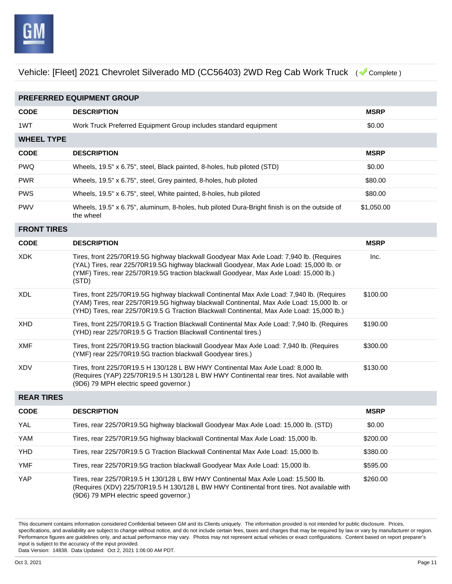

| PREFERRED EQUIPMENT GROUP |                                                                                                                                                                                                                                                                                        |             |  |
|---------------------------|----------------------------------------------------------------------------------------------------------------------------------------------------------------------------------------------------------------------------------------------------------------------------------------|-------------|--|
| <b>CODE</b>               | <b>DESCRIPTION</b>                                                                                                                                                                                                                                                                     | <b>MSRP</b> |  |
| 1WT                       | Work Truck Preferred Equipment Group includes standard equipment                                                                                                                                                                                                                       | \$0.00      |  |
| <b>WHEEL TYPE</b>         |                                                                                                                                                                                                                                                                                        |             |  |
| <b>CODE</b>               | <b>DESCRIPTION</b>                                                                                                                                                                                                                                                                     | <b>MSRP</b> |  |
| <b>PWQ</b>                | Wheels, 19.5" x 6.75", steel, Black painted, 8-holes, hub piloted (STD)                                                                                                                                                                                                                | \$0.00      |  |
| <b>PWR</b>                | Wheels, 19.5" x 6.75", steel, Grey painted, 8-holes, hub piloted                                                                                                                                                                                                                       | \$80.00     |  |
| <b>PWS</b>                | Wheels, 19.5" x 6.75", steel, White painted, 8-holes, hub piloted                                                                                                                                                                                                                      | \$80.00     |  |
| <b>PWV</b>                | Wheels, 19.5" x 6.75", aluminum, 8-holes, hub piloted Dura-Bright finish is on the outside of<br>the wheel                                                                                                                                                                             | \$1,050.00  |  |
| <b>FRONT TIRES</b>        |                                                                                                                                                                                                                                                                                        |             |  |
| <b>CODE</b>               | <b>DESCRIPTION</b>                                                                                                                                                                                                                                                                     | <b>MSRP</b> |  |
| <b>XDK</b>                | Tires, front 225/70R19.5G highway blackwall Goodyear Max Axle Load: 7,940 lb. (Requires<br>(YAL) Tires, rear 225/70R19.5G highway blackwall Goodyear, Max Axle Load: 15,000 lb. or<br>(YMF) Tires, rear 225/70R19.5G traction blackwall Goodyear, Max Axle Load: 15,000 lb.)<br>(STD)  | Inc.        |  |
| <b>XDL</b>                | Tires, front 225/70R19.5G highway blackwall Continental Max Axle Load: 7,940 lb. (Requires<br>(YAM) Tires, rear 225/70R19.5G highway blackwall Continental, Max Axle Load: 15,000 lb. or<br>(YHD) Tires, rear 225/70R19.5 G Traction Blackwall Continental, Max Axle Load: 15,000 lb.) | \$100.00    |  |
| <b>XHD</b>                | Tires, front 225/70R19.5 G Traction Blackwall Continental Max Axle Load: 7,940 lb. (Requires<br>(YHD) rear 225/70R19.5 G Traction Blackwall Continental tires.)                                                                                                                        | \$190.00    |  |
| <b>XMF</b>                | Tires, front 225/70R19.5G traction blackwall Goodyear Max Axle Load: 7,940 lb. (Requires<br>(YMF) rear 225/70R19.5G traction blackwall Goodyear tires.)                                                                                                                                | \$300.00    |  |
| <b>XDV</b>                | Tires, front 225/70R19.5 H 130/128 L BW HWY Continental Max Axle Load: 8,000 lb.<br>(Requires (YAP) 225/70R19.5 H 130/128 L BW HWY Continental rear tires. Not available with<br>(9D6) 79 MPH electric speed governor.)                                                                | \$130.00    |  |
| <b>REAR TIRES</b>         |                                                                                                                                                                                                                                                                                        |             |  |
| <b>CODE</b>               | <b>DESCRIPTION</b>                                                                                                                                                                                                                                                                     | <b>MSRP</b> |  |
| <b>YAL</b>                | Tires, rear 225/70R19.5G highway blackwall Goodyear Max Axle Load: 15,000 lb. (STD)                                                                                                                                                                                                    | \$0.00      |  |
| YAM                       | Tires, rear 225/70R19.5G highway blackwall Continental Max Axle Load: 15,000 lb.                                                                                                                                                                                                       | \$200.00    |  |
| <b>YHD</b>                | Tires, rear 225/70R19.5 G Traction Blackwall Continental Max Axle Load: 15,000 lb.                                                                                                                                                                                                     | \$380.00    |  |
| <b>YMF</b>                | Tires, rear 225/70R19.5G traction blackwall Goodyear Max Axle Load: 15,000 lb.                                                                                                                                                                                                         | \$595.00    |  |
| YAP                       | Tires, rear 225/70R19.5 H 130/128 L BW HWY Continental Max Axle Load: 15,500 lb.<br>(Requires (XDV) 225/70R19.5 H 130/128 L BW HWY Continental front tires. Not available with                                                                                                         | \$260.00    |  |

(9D6) 79 MPH electric speed governor.)

This document contains information considered Confidential between GM and its Clients uniquely. The information provided is not intended for public disclosure. Prices, specifications, and availability are subject to change without notice, and do not include certain fees, taxes and charges that may be required by law or vary by manufacturer or region. Performance figures are guidelines only, and actual performance may vary. Photos may not represent actual vehicles or exact configurations. Content based on report preparer's input is subject to the accuracy of the input provided.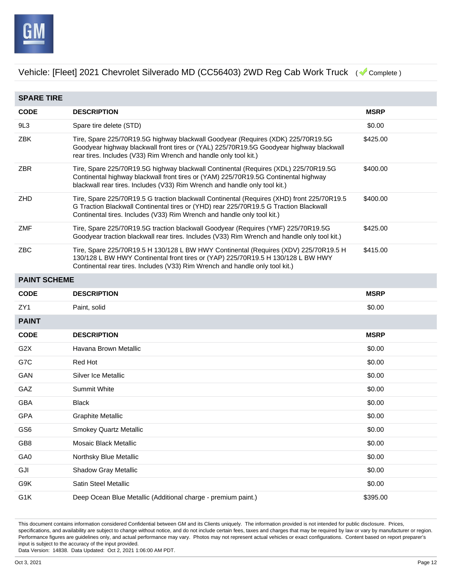

| <b>SPARE TIRE</b>   |                                                                                                                                                                                                                                                                |             |  |
|---------------------|----------------------------------------------------------------------------------------------------------------------------------------------------------------------------------------------------------------------------------------------------------------|-------------|--|
| <b>CODE</b>         | <b>DESCRIPTION</b>                                                                                                                                                                                                                                             | <b>MSRP</b> |  |
| 9L3                 | Spare tire delete (STD)                                                                                                                                                                                                                                        | \$0.00      |  |
| ZBK                 | Tire, Spare 225/70R19.5G highway blackwall Goodyear (Requires (XDK) 225/70R19.5G<br>Goodyear highway blackwall front tires or (YAL) 225/70R19.5G Goodyear highway blackwall<br>rear tires. Includes (V33) Rim Wrench and handle only tool kit.)                | \$425.00    |  |
| ZBR                 | Tire, Spare 225/70R19.5G highway blackwall Continental (Requires (XDL) 225/70R19.5G<br>Continental highway blackwall front tires or (YAM) 225/70R19.5G Continental highway<br>blackwall rear tires. Includes (V33) Rim Wrench and handle only tool kit.)       | \$400.00    |  |
| ZHD                 | Tire, Spare 225/70R19.5 G traction blackwall Continental (Requires (XHD) front 225/70R19.5<br>G Traction Blackwall Continental tires or (YHD) rear 225/70R19.5 G Traction Blackwall<br>Continental tires. Includes (V33) Rim Wrench and handle only tool kit.) | \$400.00    |  |
| ZMF                 | Tire, Spare 225/70R19.5G traction blackwall Goodyear (Requires (YMF) 225/70R19.5G<br>Goodyear traction blackwall rear tires. Includes (V33) Rim Wrench and handle only tool kit.)                                                                              | \$425.00    |  |
| ZBC                 | Tire, Spare 225/70R19.5 H 130/128 L BW HWY Continental (Requires (XDV) 225/70R19.5 H<br>130/128 L BW HWY Continental front tires or (YAP) 225/70R19.5 H 130/128 L BW HWY<br>Continental rear tires. Includes (V33) Rim Wrench and handle only tool kit.)       | \$415.00    |  |
| <b>PAINT SCHEME</b> |                                                                                                                                                                                                                                                                |             |  |
| <b>CODE</b>         | <b>DESCRIPTION</b>                                                                                                                                                                                                                                             | <b>MSRP</b> |  |
| ZY <sub>1</sub>     | Paint, solid                                                                                                                                                                                                                                                   | \$0.00      |  |
| <b>PAINT</b>        |                                                                                                                                                                                                                                                                |             |  |
| <b>CODE</b>         | <b>DESCRIPTION</b>                                                                                                                                                                                                                                             | <b>MSRP</b> |  |
| G <sub>2</sub> X    | Havana Brown Metallic                                                                                                                                                                                                                                          | \$0.00      |  |
| G7C                 | Red Hot                                                                                                                                                                                                                                                        | \$0.00      |  |
| GAN                 | Silver Ice Metallic                                                                                                                                                                                                                                            | \$0.00      |  |
| GAZ                 | Summit White                                                                                                                                                                                                                                                   | \$0.00      |  |
| <b>GBA</b>          | <b>Black</b>                                                                                                                                                                                                                                                   | \$0.00      |  |
| <b>GPA</b>          | <b>Graphite Metallic</b>                                                                                                                                                                                                                                       | \$0.00      |  |
| GS <sub>6</sub>     | <b>Smokey Quartz Metallic</b>                                                                                                                                                                                                                                  | \$0.00      |  |
| GB8                 | Mosaic Black Metallic                                                                                                                                                                                                                                          | \$0.00      |  |
| GA0                 | Northsky Blue Metallic                                                                                                                                                                                                                                         | \$0.00      |  |
| GJI                 | Shadow Gray Metallic                                                                                                                                                                                                                                           | \$0.00      |  |
| G9K                 | Satin Steel Metallic                                                                                                                                                                                                                                           | \$0.00      |  |
| G1K                 | Deep Ocean Blue Metallic (Additional charge - premium paint.)                                                                                                                                                                                                  | \$395.00    |  |

This document contains information considered Confidential between GM and its Clients uniquely. The information provided is not intended for public disclosure. Prices, specifications, and availability are subject to change without notice, and do not include certain fees, taxes and charges that may be required by law or vary by manufacturer or region. Performance figures are guidelines only, and actual performance may vary. Photos may not represent actual vehicles or exact configurations. Content based on report preparer's input is subject to the accuracy of the input provided.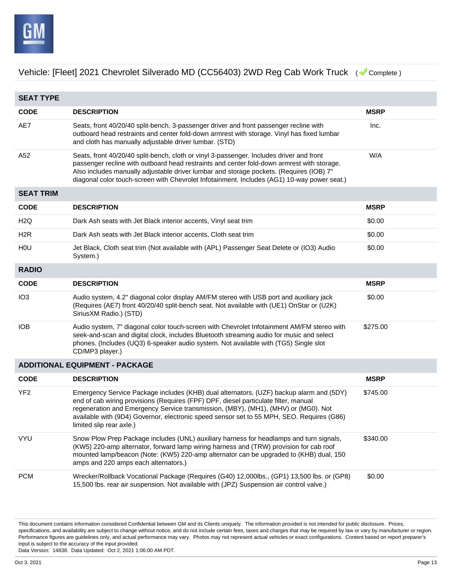

**SEAT TYPE CODE DESCRIPTION MSRP** AE7 Seats, front 40/20/40 split-bench, 3-passenger driver and front passenger recline with outboard head restraints and center fold-down armrest with storage. Vinyl has fixed lumbar and cloth has manually adjustable driver lumbar. (STD) Inc. A52 Seats, front 40/20/40 split-bench, cloth or vinyl 3-passenger. Includes driver and front passenger recline with outboard head restraints and center fold-down armrest with storage. Also includes manually adjustable driver lumbar and storage pockets. (Requires (IOB) 7" diagonal color touch-screen with Chevrolet Infotainment. Includes (AG1) 10-way power seat.) W/A **SEAT TRIM CODE DESCRIPTION MSRP** H2Q Dark Ash seats with Jet Black interior accents, Vinyl seat trim \$0.00 H2R Dark Ash seats with Jet Black interior accents, Cloth seat trim  $$0.00$ H0U Jet Black, Cloth seat trim (Not available with (APL) Passenger Seat Delete or (IO3) Audio System.) \$0.00 **RADIO CODE DESCRIPTION MSRP** IO3 Audio system, 4.2" diagonal color display AM/FM stereo with USB port and auxiliary jack (Requires (AE7) front 40/20/40 split-bench seat. Not available with (UE1) OnStar or (U2K) SiriusXM Radio.) (STD) \$0.00 IOB Audio system, 7" diagonal color touch-screen with Chevrolet Infotainment AM/FM stereo with seek-and-scan and digital clock, includes Bluetooth streaming audio for music and select phones. (Includes (UQ3) 6-speaker audio system. Not available with (TG5) Single slot CD/MP3 player.) \$275.00 **ADDITIONAL EQUIPMENT - PACKAGE CODE DESCRIPTION MSRP** YF2 Emergency Service Package includes (KHB) dual alternators, (UZF) backup alarm and (5DY) end of cab wiring provisions (Requires (FPF) DPF, diesel particulate filter, manual regeneration and Emergency Service transmission, (MBY), (MH1), (MHV) or (MG0). Not available with (9D4) Governor, electronic speed sensor set to 55 MPH, SEO. Requires (G86) limited slip rear axle.) \$745.00 VYU Snow Plow Prep Package includes (UNL) auxiliary harness for headlamps and turn signals, (KW5) 220-amp alternator, forward lamp wiring harness and (TRW) provision for cab roof mounted lamp/beacon (Note: (KW5) 220-amp alternator can be upgraded to (KHB) dual, 150 amps and 220 amps each alternators.) \$340.00 PCM Wrecker/Rollback Vocational Package (Requires (G40) 12,000lbs., (GP1) 13,500 lbs. or (GP8) 15,500 lbs. rear air suspension. Not available with (JPZ) Suspension air control valve.) \$0.00

This document contains information considered Confidential between GM and its Clients uniquely. The information provided is not intended for public disclosure. Prices, specifications, and availability are subject to change without notice, and do not include certain fees, taxes and charges that may be required by law or vary by manufacturer or region. Performance figures are guidelines only, and actual performance may vary. Photos may not represent actual vehicles or exact configurations. Content based on report preparer's input is subject to the accuracy of the input provided.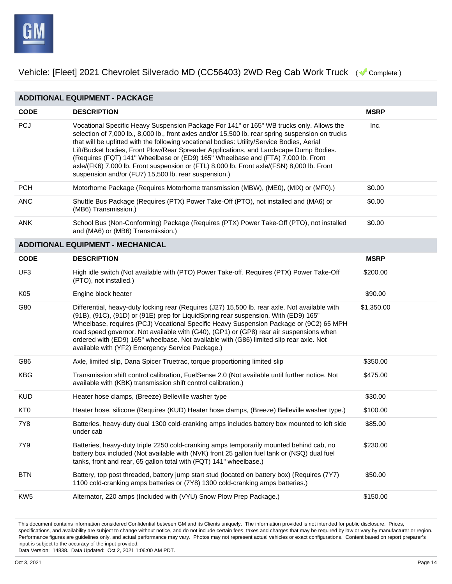

| <b>ADDITIONAL EQUIPMENT - PACKAGE</b> |                                                                                                                                                                                                                                                                                                                                                                                                                                                                                                                                                                                                                               |             |  |
|---------------------------------------|-------------------------------------------------------------------------------------------------------------------------------------------------------------------------------------------------------------------------------------------------------------------------------------------------------------------------------------------------------------------------------------------------------------------------------------------------------------------------------------------------------------------------------------------------------------------------------------------------------------------------------|-------------|--|
| <b>CODE</b>                           | <b>DESCRIPTION</b>                                                                                                                                                                                                                                                                                                                                                                                                                                                                                                                                                                                                            | <b>MSRP</b> |  |
| <b>PCJ</b>                            | Vocational Specific Heavy Suspension Package For 141" or 165" WB trucks only. Allows the<br>selection of 7,000 lb., 8,000 lb., front axles and/or 15,500 lb. rear spring suspension on trucks<br>that will be upfitted with the following vocational bodies: Utility/Service Bodies, Aerial<br>Lift/Bucket bodies, Front Plow/Rear Spreader Applications, and Landscape Dump Bodies.<br>(Requires (FQT) 141" Wheelbase or (ED9) 165" Wheelbase and (FTA) 7,000 lb. Front<br>axle/(FK6) 7,000 lb. Front suspension or (FTL) 8,000 lb. Front axle/(FSN) 8,000 lb. Front<br>suspension and/or (FU7) 15,500 lb. rear suspension.) | Inc.        |  |
| <b>PCH</b>                            | Motorhome Package (Requires Motorhome transmission (MBW), (ME0), (MIX) or (MF0).)                                                                                                                                                                                                                                                                                                                                                                                                                                                                                                                                             | \$0.00      |  |
| <b>ANC</b>                            | Shuttle Bus Package (Requires (PTX) Power Take-Off (PTO), not installed and (MA6) or<br>(MB6) Transmission.)                                                                                                                                                                                                                                                                                                                                                                                                                                                                                                                  | \$0.00      |  |
| <b>ANK</b>                            | School Bus (Non-Conforming) Package (Requires (PTX) Power Take-Off (PTO), not installed<br>and (MA6) or (MB6) Transmission.)                                                                                                                                                                                                                                                                                                                                                                                                                                                                                                  | \$0.00      |  |
|                                       | <b>ADDITIONAL EQUIPMENT - MECHANICAL</b>                                                                                                                                                                                                                                                                                                                                                                                                                                                                                                                                                                                      |             |  |
| <b>CODE</b>                           | <b>DESCRIPTION</b>                                                                                                                                                                                                                                                                                                                                                                                                                                                                                                                                                                                                            | <b>MSRP</b> |  |
| UF3                                   | High idle switch (Not available with (PTO) Power Take-off. Requires (PTX) Power Take-Off<br>(PTO), not installed.)                                                                                                                                                                                                                                                                                                                                                                                                                                                                                                            | \$200.00    |  |
| K05                                   | Engine block heater                                                                                                                                                                                                                                                                                                                                                                                                                                                                                                                                                                                                           | \$90.00     |  |
| G80                                   | Differential, heavy-duty locking rear (Requires (J27) 15,500 lb. rear axle. Not available with<br>(91B), (91C), (91D) or (91E) prep for LiquidSpring rear suspension. With (ED9) 165"<br>Wheelbase, requires (PCJ) Vocational Specific Heavy Suspension Package or (9C2) 65 MPH<br>road speed governor. Not available with (G40), (GP1) or (GP8) rear air suspensions when<br>ordered with (ED9) 165" wheelbase. Not available with (G86) limited slip rear axle. Not<br>available with (YF2) Emergency Service Package.)                                                                                                     | \$1,350.00  |  |
| G86                                   | Axle, limited slip, Dana Spicer Truetrac, torque proportioning limited slip                                                                                                                                                                                                                                                                                                                                                                                                                                                                                                                                                   | \$350.00    |  |
| <b>KBG</b>                            | Transmission shift control calibration, FuelSense 2.0 (Not available until further notice. Not<br>available with (KBK) transmission shift control calibration.)                                                                                                                                                                                                                                                                                                                                                                                                                                                               | \$475.00    |  |
| <b>KUD</b>                            | Heater hose clamps, (Breeze) Belleville washer type                                                                                                                                                                                                                                                                                                                                                                                                                                                                                                                                                                           | \$30.00     |  |
| KT <sub>0</sub>                       | Heater hose, silicone (Requires (KUD) Heater hose clamps, (Breeze) Belleville washer type.)                                                                                                                                                                                                                                                                                                                                                                                                                                                                                                                                   | \$100.00    |  |
| <b>7Y8</b>                            | Batteries, heavy-duty dual 1300 cold-cranking amps includes battery box mounted to left side<br>under cab                                                                                                                                                                                                                                                                                                                                                                                                                                                                                                                     | \$85.00     |  |
| 7Y9                                   | Batteries, heavy-duty triple 2250 cold-cranking amps temporarily mounted behind cab, no<br>battery box included (Not available with (NVK) front 25 gallon fuel tank or (NSQ) dual fuel<br>tanks, front and rear, 65 gallon total with (FQT) 141" wheelbase.)                                                                                                                                                                                                                                                                                                                                                                  | \$230.00    |  |
| <b>BTN</b>                            | Battery, top post threaded, battery jump start stud (located on battery box) (Requires (7Y7)<br>1100 cold-cranking amps batteries or (7Y8) 1300 cold-cranking amps batteries.)                                                                                                                                                                                                                                                                                                                                                                                                                                                | \$50.00     |  |
| KW <sub>5</sub>                       | Alternator, 220 amps (Included with (VYU) Snow Plow Prep Package.)                                                                                                                                                                                                                                                                                                                                                                                                                                                                                                                                                            | \$150.00    |  |

This document contains information considered Confidential between GM and its Clients uniquely. The information provided is not intended for public disclosure. Prices, specifications, and availability are subject to change without notice, and do not include certain fees, taxes and charges that may be required by law or vary by manufacturer or region. Performance figures are guidelines only, and actual performance may vary. Photos may not represent actual vehicles or exact configurations. Content based on report preparer's input is subject to the accuracy of the input provided.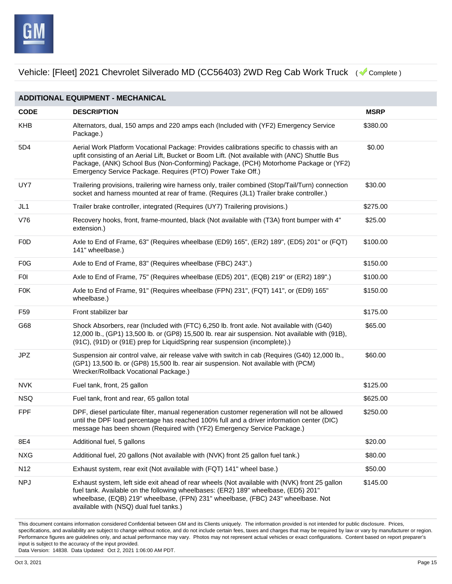

**ADDITIONAL EQUIPMENT - MECHANICAL CODE DESCRIPTION MSRP** KHB Alternators, dual, 150 amps and 220 amps each (Included with (YF2) Emergency Service Package.) \$380.00 5D4 Aerial Work Platform Vocational Package: Provides calibrations specific to chassis with an upfit consisting of an Aerial Lift, Bucket or Boom Lift. (Not available with (ANC) Shuttle Bus Package, (ANK) School Bus (Non-Conforming) Package, (PCH) Motorhome Package or (YF2) Emergency Service Package. Requires (PTO) Power Take Off.) \$0.00 UY7 Trailering provisions, trailering wire harness only, trailer combined (Stop/Tail/Turn) connection socket and harness mounted at rear of frame. (Requires (JL1) Trailer brake controller.) \$30.00 JL1 Trailer brake controller, integrated (Requires (UY7) Trailering provisions.) \$275.00 V76 Recovery hooks, front, frame-mounted, black (Not available with (T3A) front bumper with 4" extension.) \$25.00 F0D Axle to End of Frame, 63" (Requires wheelbase (ED9) 165", (ER2) 189", (ED5) 201" or (FQT) 141" wheelbase.) \$100.00 FOG Axle to End of Frame, 83" (Requires wheelbase (FBC) 243".) \$150.00 F0I Axle to End of Frame, 75" (Requires wheelbase (ED5) 201", (EQB) 219" or (ER2) 189".) \$100.00 F0K Axle to End of Frame, 91" (Requires wheelbase (FPN) 231", (FQT) 141", or (ED9) 165" wheelbase.) \$150.00 F59 Front stabilizer bar **1998 Front stabilizer bar** 1999 Front Stabilizer bar 1999 Front Stabilizer bar 1999 Front Stabilizer bar 1999 Front Stabilizer bar 1999 Front Stabilizer bar 1999 Front Stabilizer bar 1999 Front St G68 Shock Absorbers, rear (Included with (FTC) 6,250 lb. front axle. Not available with (G40) 12,000 lb., (GP1) 13,500 lb. or (GP8) 15,500 lb. rear air suspension. Not available with (91B), (91C), (91D) or (91E) prep for LiquidSpring rear suspension (incomplete).) \$65.00 JPZ Suspension air control valve, air release valve with switch in cab (Requires (G40) 12,000 lb., (GP1) 13,500 lb. or (GP8) 15,500 lb. rear air suspension. Not available with (PCM) Wrecker/Rollback Vocational Package.) \$60.00 NVK Fuel tank, front, 25 gallon **Fuel and Australian Control of the State of the State Australian Control Control Control of State Australian Control Control Control Control Control Control Control Control Control Control** NSQ Fuel tank, front and rear, 65 gallon total \$625.00 FPF DPF, diesel particulate filter, manual regeneration customer regeneration will not be allowed until the DPF load percentage has reached 100% full and a driver information center (DIC) message has been shown (Required with (YF2) Emergency Service Package.) \$250.00 8E4 **Additional fuel, 5 gallons 620.00 6320.00 6320.00 6320.00 6320.00 6320.00** NXG Additional fuel, 20 gallons (Not available with (NVK) front 25 gallon fuel tank.) \$80.00 N12 Exhaust system, rear exit (Not available with (FQT) 141" wheel base.) \$50.00 NPJ Exhaust system, left side exit ahead of rear wheels (Not available with (NVK) front 25 gallon fuel tank. Available on the following wheelbases: (ER2) 189" wheelbase, (ED5) 201" wheelbase, (EQB) 219" wheelbase, (FPN) 231" wheelbase, (FBC) 243" wheelbase. Not available with (NSQ) dual fuel tanks.) \$145.00

This document contains information considered Confidential between GM and its Clients uniquely. The information provided is not intended for public disclosure. Prices, specifications, and availability are subject to change without notice, and do not include certain fees, taxes and charges that may be required by law or vary by manufacturer or region. Performance figures are guidelines only, and actual performance may vary. Photos may not represent actual vehicles or exact configurations. Content based on report preparer's input is subject to the accuracy of the input provided.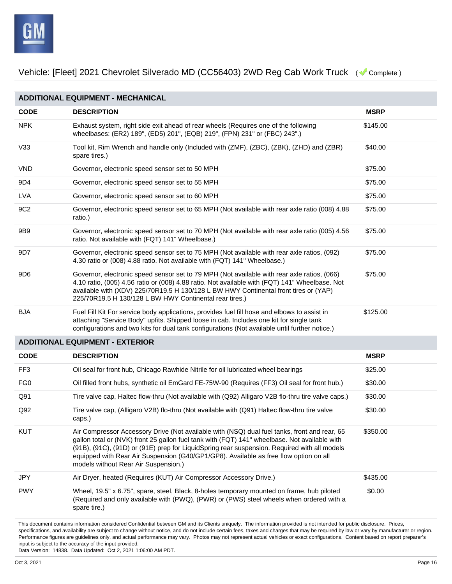

**ADDITIONAL EQUIPMENT - MECHANICAL CODE DESCRIPTION MSRP** NPK Exhaust system, right side exit ahead of rear wheels (Requires one of the following wheelbases: (ER2) 189", (ED5) 201", (EQB) 219", (FPN) 231" or (FBC) 243".) \$145.00 V33 Tool kit, Rim Wrench and handle only (Included with (ZMF), (ZBC), (ZBK), (ZHD) and (ZBR) spare tires.) \$40.00 VND Governor, electronic speed sensor set to 50 MPH  $$75.00$ 9D4 Governor, electronic speed sensor set to 55 MPH  $$75.00$ LVA Governor, electronic speed sensor set to 60 MPH 675.00 9C2 Governor, electronic speed sensor set to 65 MPH (Not available with rear axle ratio (008) 4.88 ratio.) \$75.00 9B9 Governor, electronic speed sensor set to 70 MPH (Not available with rear axle ratio (005) 4.56 ratio. Not available with (FQT) 141" Wheelbase.) \$75.00 9D7 Governor, electronic speed sensor set to 75 MPH (Not available with rear axle ratios, (092) 4.30 ratio or (008) 4.88 ratio. Not available with (FQT) 141" Wheelbase.) \$75.00 9D6 Governor, electronic speed sensor set to 79 MPH (Not available with rear axle ratios, (066) 4.10 ratio, (005) 4.56 ratio or (008) 4.88 ratio. Not available with (FQT) 141" Wheelbase. Not available with (XDV) 225/70R19.5 H 130/128 L BW HWY Continental front tires or (YAP) 225/70R19.5 H 130/128 L BW HWY Continental rear tires.) \$75.00 BJA Fuel Fill Kit For service body applications, provides fuel fill hose and elbows to assist in attaching "Service Body" upfits. Shipped loose in cab. Includes one kit for single tank configurations and two kits for dual tank configurations (Not available until further notice.) \$125.00 **ADDITIONAL EQUIPMENT - EXTERIOR CODE DESCRIPTION MSRP** FF3 **Oil seal for front hub, Chicago Rawhide Nitrile for oil lubricated wheel bearings** \$25.00 FG0 Oil filled front hubs, synthetic oil EmGard FE-75W-90 (Requires (FF3) Oil seal for front hub.) \$30.00 Q91 Tire valve cap, Haltec flow-thru (Not available with (Q92) Alligaro V2B flo-thru tire valve caps.) \$30.00 Q92 Tire valve cap, (Alligaro V2B) flo-thru (Not available with (Q91) Haltec flow-thru tire valve caps.) \$30.00 KUT Air Compressor Accessory Drive (Not available with (NSQ) dual fuel tanks, front and rear, 65 gallon total or (NVK) front 25 gallon fuel tank with (FQT) 141" wheelbase. Not available with (91B), (91C), (91D) or (91E) prep for LiquidSpring rear suspension. Required with all models equipped with Rear Air Suspension (G40/GP1/GP8). Available as free flow option on all models without Rear Air Suspension.) \$350.00 JPY Air Dryer, heated (Requires (KUT) Air Compressor Accessory Drive.) \$435.00 PWY Wheel, 19.5" x 6.75", spare, steel, Black, 8-holes temporary mounted on frame, hub piloted (Required and only available with (PWQ), (PWR) or (PWS) steel wheels when ordered with a spare tire.) \$0.00

This document contains information considered Confidential between GM and its Clients uniquely. The information provided is not intended for public disclosure. Prices, specifications, and availability are subject to change without notice, and do not include certain fees, taxes and charges that may be required by law or vary by manufacturer or region. Performance figures are guidelines only, and actual performance may vary. Photos may not represent actual vehicles or exact configurations. Content based on report preparer's input is subject to the accuracy of the input provided.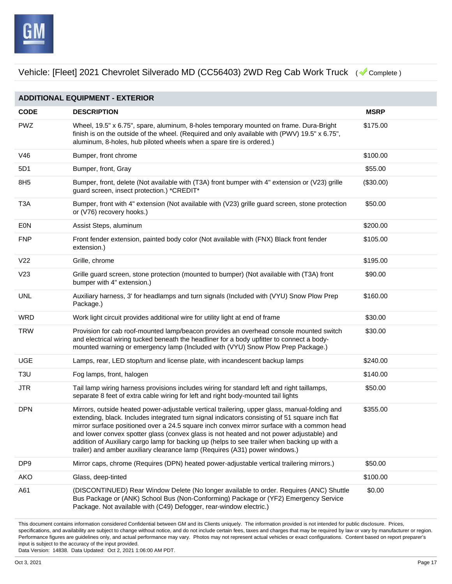

| <b>ADDITIONAL EQUIPMENT - EXTERIOR</b> |                                                                                                                                                                                                                                                                                                                                                                                                                                                                                                                                                                          |             |  |
|----------------------------------------|--------------------------------------------------------------------------------------------------------------------------------------------------------------------------------------------------------------------------------------------------------------------------------------------------------------------------------------------------------------------------------------------------------------------------------------------------------------------------------------------------------------------------------------------------------------------------|-------------|--|
| <b>CODE</b>                            | <b>DESCRIPTION</b>                                                                                                                                                                                                                                                                                                                                                                                                                                                                                                                                                       | <b>MSRP</b> |  |
| <b>PWZ</b>                             | Wheel, 19.5" x 6.75", spare, aluminum, 8-holes temporary mounted on frame. Dura-Bright<br>finish is on the outside of the wheel. (Required and only available with (PWV) $19.5" \times 6.75"$ ,<br>aluminum, 8-holes, hub piloted wheels when a spare tire is ordered.)                                                                                                                                                                                                                                                                                                  | \$175.00    |  |
| V46                                    | Bumper, front chrome                                                                                                                                                                                                                                                                                                                                                                                                                                                                                                                                                     | \$100.00    |  |
| 5D1                                    | Bumper, front, Gray                                                                                                                                                                                                                                                                                                                                                                                                                                                                                                                                                      | \$55.00     |  |
| 8H <sub>5</sub>                        | Bumper, front, delete (Not available with (T3A) front bumper with 4" extension or (V23) grille<br>guard screen, insect protection.) *CREDIT*                                                                                                                                                                                                                                                                                                                                                                                                                             | (\$30.00)   |  |
| T <sub>3</sub> A                       | Bumper, front with 4" extension (Not available with (V23) grille guard screen, stone protection<br>or (V76) recovery hooks.)                                                                                                                                                                                                                                                                                                                                                                                                                                             | \$50.00     |  |
| <b>EON</b>                             | Assist Steps, aluminum                                                                                                                                                                                                                                                                                                                                                                                                                                                                                                                                                   | \$200.00    |  |
| <b>FNP</b>                             | Front fender extension, painted body color (Not available with (FNX) Black front fender<br>extension.)                                                                                                                                                                                                                                                                                                                                                                                                                                                                   | \$105.00    |  |
| V <sub>22</sub>                        | Grille, chrome                                                                                                                                                                                                                                                                                                                                                                                                                                                                                                                                                           | \$195.00    |  |
| V <sub>23</sub>                        | Grille guard screen, stone protection (mounted to bumper) (Not available with (T3A) front<br>bumper with 4" extension.)                                                                                                                                                                                                                                                                                                                                                                                                                                                  | \$90.00     |  |
| <b>UNL</b>                             | Auxiliary harness, 3' for headlamps and turn signals (Included with (VYU) Snow Plow Prep<br>Package.)                                                                                                                                                                                                                                                                                                                                                                                                                                                                    | \$160.00    |  |
| <b>WRD</b>                             | Work light circuit provides additional wire for utility light at end of frame                                                                                                                                                                                                                                                                                                                                                                                                                                                                                            | \$30.00     |  |
| <b>TRW</b>                             | Provision for cab roof-mounted lamp/beacon provides an overhead console mounted switch<br>and electrical wiring tucked beneath the headliner for a body upfitter to connect a body-<br>mounted warning or emergency lamp (Included with (VYU) Snow Plow Prep Package.)                                                                                                                                                                                                                                                                                                   | \$30.00     |  |
| <b>UGE</b>                             | Lamps, rear, LED stop/turn and license plate, with incandescent backup lamps                                                                                                                                                                                                                                                                                                                                                                                                                                                                                             | \$240.00    |  |
| T <sub>3</sub> U                       | Fog lamps, front, halogen                                                                                                                                                                                                                                                                                                                                                                                                                                                                                                                                                | \$140.00    |  |
| <b>JTR</b>                             | Tail lamp wiring harness provisions includes wiring for standard left and right taillamps,<br>separate 8 feet of extra cable wiring for left and right body-mounted tail lights                                                                                                                                                                                                                                                                                                                                                                                          | \$50.00     |  |
| <b>DPN</b>                             | Mirrors, outside heated power-adjustable vertical trailering, upper glass, manual-folding and<br>extending, black. Includes integrated turn signal indicators consisting of 51 square inch flat<br>mirror surface positioned over a 24.5 square inch convex mirror surface with a common head<br>and lower convex spotter glass (convex glass is not heated and not power adjustable) and<br>addition of Auxiliary cargo lamp for backing up (helps to see trailer when backing up with a<br>trailer) and amber auxiliary clearance lamp (Requires (A31) power windows.) | \$355.00    |  |
| DP <sub>9</sub>                        | Mirror caps, chrome (Requires (DPN) heated power-adjustable vertical trailering mirrors.)                                                                                                                                                                                                                                                                                                                                                                                                                                                                                | \$50.00     |  |
| AKO                                    | Glass, deep-tinted                                                                                                                                                                                                                                                                                                                                                                                                                                                                                                                                                       | \$100.00    |  |
| A61                                    | (DISCONTINUED) Rear Window Delete (No longer available to order. Requires (ANC) Shuttle<br>Bus Package or (ANK) School Bus (Non-Conforming) Package or (YF2) Emergency Service<br>Package. Not available with (C49) Defogger, rear-window electric.)                                                                                                                                                                                                                                                                                                                     | \$0.00      |  |

This document contains information considered Confidential between GM and its Clients uniquely. The information provided is not intended for public disclosure. Prices, specifications, and availability are subject to change without notice, and do not include certain fees, taxes and charges that may be required by law or vary by manufacturer or region. Performance figures are guidelines only, and actual performance may vary. Photos may not represent actual vehicles or exact configurations. Content based on report preparer's input is subject to the accuracy of the input provided.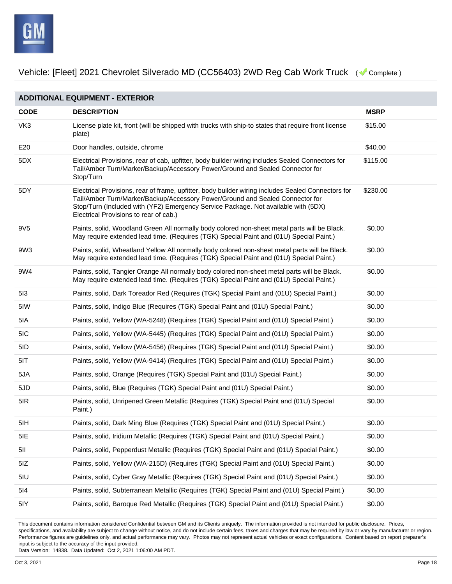

**ADDITIONAL EQUIPMENT - EXTERIOR CODE DESCRIPTION MSRP** VK3 License plate kit, front (will be shipped with trucks with ship-to states that require front license plate) \$15.00 E20 Door handles, outside, chrome **business** and the state of the state of the state of the state of the state of the state of the state of the state of the state of the state of the state of the state of the state of the 5DX Electrical Provisions, rear of cab, upfitter, body builder wiring includes Sealed Connectors for Tail/Amber Turn/Marker/Backup/Accessory Power/Ground and Sealed Connector for Stop/Turn \$115.00 5DY Electrical Provisions, rear of frame, upfitter, body builder wiring includes Sealed Connectors for Tail/Amber Turn/Marker/Backup/Accessory Power/Ground and Sealed Connector for Stop/Turn (Included with (YF2) Emergency Service Package. Not available with (5DX) Electrical Provisions to rear of cab.) \$230.00 9V5 Paints, solid, Woodland Green All normally body colored non-sheet metal parts will be Black. May require extended lead time. (Requires (TGK) Special Paint and (01U) Special Paint.) \$0.00 9W3 Paints, solid, Wheatland Yellow All normally body colored non-sheet metal parts will be Black. May require extended lead time. (Requires (TGK) Special Paint and (01U) Special Paint.) \$0.00 9W4 Paints, solid, Tangier Orange All normally body colored non-sheet metal parts will be Black. May require extended lead time. (Requires (TGK) Special Paint and (01U) Special Paint.) \$0.00 5I3 Paints, solid, Dark Toreador Red (Requires (TGK) Special Paint and (01U) Special Paint.) \$0.00 5IW Paints, solid, Indigo Blue (Requires (TGK) Special Paint and (01U) Special Paint.) \$0.00 5IA Paints, solid, Yellow (WA-5248) (Requires (TGK) Special Paint and (01U) Special Paint.) \$0.00 5IC Paints, solid, Yellow (WA-5445) (Requires (TGK) Special Paint and (01U) Special Paint.) \$0.00 5ID Paints, solid, Yellow (WA-5456) (Requires (TGK) Special Paint and (01U) Special Paint.) \$0.00 5IT Paints, solid, Yellow (WA-9414) (Requires (TGK) Special Paint and (01U) Special Paint.) \$0.00 5JA Paints, solid, Orange (Requires (TGK) Special Paint and (01U) Special Paint.) \$0.00 5JD Paints, solid, Blue (Requires (TGK) Special Paint and (01U) Special Paint.) \$0.00 5IR Paints, solid, Unripened Green Metallic (Requires (TGK) Special Paint and (01U) Special Paint.) \$0.00 5IH Paints, solid, Dark Ming Blue (Requires (TGK) Special Paint and (01U) Special Paint.) \$0.00 5IE Paints, solid, Iridium Metallic (Requires (TGK) Special Paint and (01U) Special Paint.) \$0.00 5II Paints, solid, Pepperdust Metallic (Requires (TGK) Special Paint and (01U) Special Paint.) \$0.00 5IZ Paints, solid, Yellow (WA-215D) (Requires (TGK) Special Paint and (01U) Special Paint.) \$0.00 5IU Paints, solid, Cyber Gray Metallic (Requires (TGK) Special Paint and (01U) Special Paint.) \$0.00 5I4 Paints, solid, Subterranean Metallic (Requires (TGK) Special Paint and (01U) Special Paint.) \$0.00 5IY Paints, solid, Baroque Red Metallic (Requires (TGK) Special Paint and (01U) Special Paint.) \$0.00

This document contains information considered Confidential between GM and its Clients uniquely. The information provided is not intended for public disclosure. Prices, specifications, and availability are subject to change without notice, and do not include certain fees, taxes and charges that may be required by law or vary by manufacturer or region. Performance figures are guidelines only, and actual performance may vary. Photos may not represent actual vehicles or exact configurations. Content based on report preparer's input is subject to the accuracy of the input provided.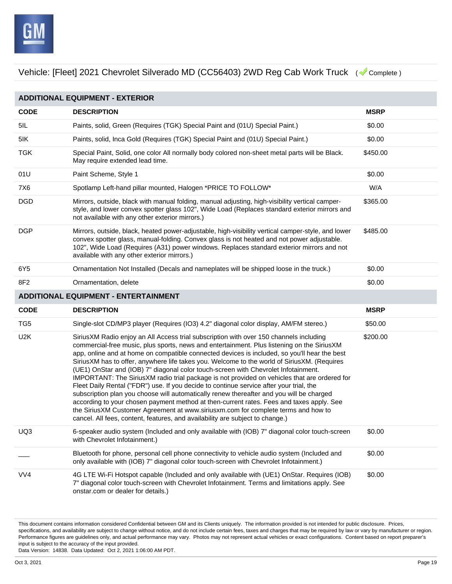

| <b>ADDITIONAL EQUIPMENT - EXTERIOR</b> |                                                                                                                                                                                                                                                                                                                                                                                                                                                                                                                                                                                                                                                                                                                                                                                                                                                                                                                                                                                                                                    |             |  |
|----------------------------------------|------------------------------------------------------------------------------------------------------------------------------------------------------------------------------------------------------------------------------------------------------------------------------------------------------------------------------------------------------------------------------------------------------------------------------------------------------------------------------------------------------------------------------------------------------------------------------------------------------------------------------------------------------------------------------------------------------------------------------------------------------------------------------------------------------------------------------------------------------------------------------------------------------------------------------------------------------------------------------------------------------------------------------------|-------------|--|
| <b>CODE</b>                            | <b>DESCRIPTION</b>                                                                                                                                                                                                                                                                                                                                                                                                                                                                                                                                                                                                                                                                                                                                                                                                                                                                                                                                                                                                                 | <b>MSRP</b> |  |
| 5IL                                    | Paints, solid, Green (Requires (TGK) Special Paint and (01U) Special Paint.)                                                                                                                                                                                                                                                                                                                                                                                                                                                                                                                                                                                                                                                                                                                                                                                                                                                                                                                                                       | \$0.00      |  |
| 5IK                                    | Paints, solid, Inca Gold (Requires (TGK) Special Paint and (01U) Special Paint.)                                                                                                                                                                                                                                                                                                                                                                                                                                                                                                                                                                                                                                                                                                                                                                                                                                                                                                                                                   | \$0.00      |  |
| <b>TGK</b>                             | Special Paint, Solid, one color All normally body colored non-sheet metal parts will be Black.<br>May require extended lead time.                                                                                                                                                                                                                                                                                                                                                                                                                                                                                                                                                                                                                                                                                                                                                                                                                                                                                                  | \$450.00    |  |
| 01U                                    | Paint Scheme, Style 1                                                                                                                                                                                                                                                                                                                                                                                                                                                                                                                                                                                                                                                                                                                                                                                                                                                                                                                                                                                                              | \$0.00      |  |
| 7X6                                    | Spotlamp Left-hand pillar mounted, Halogen *PRICE TO FOLLOW*                                                                                                                                                                                                                                                                                                                                                                                                                                                                                                                                                                                                                                                                                                                                                                                                                                                                                                                                                                       | W/A         |  |
| <b>DGD</b>                             | Mirrors, outside, black with manual folding, manual adjusting, high-visibility vertical camper-<br>style, and lower convex spotter glass 102", Wide Load (Replaces standard exterior mirrors and<br>not available with any other exterior mirrors.)                                                                                                                                                                                                                                                                                                                                                                                                                                                                                                                                                                                                                                                                                                                                                                                | \$365.00    |  |
| <b>DGP</b>                             | Mirrors, outside, black, heated power-adjustable, high-visibility vertical camper-style, and lower<br>convex spotter glass, manual-folding. Convex glass is not heated and not power adjustable.<br>102", Wide Load (Requires (A31) power windows. Replaces standard exterior mirrors and not<br>available with any other exterior mirrors.)                                                                                                                                                                                                                                                                                                                                                                                                                                                                                                                                                                                                                                                                                       | \$485.00    |  |
| 6Y5                                    | Ornamentation Not Installed (Decals and nameplates will be shipped loose in the truck.)                                                                                                                                                                                                                                                                                                                                                                                                                                                                                                                                                                                                                                                                                                                                                                                                                                                                                                                                            | \$0.00      |  |
| 8F2                                    | Ornamentation, delete                                                                                                                                                                                                                                                                                                                                                                                                                                                                                                                                                                                                                                                                                                                                                                                                                                                                                                                                                                                                              | \$0.00      |  |
|                                        | <b>ADDITIONAL EQUIPMENT - ENTERTAINMENT</b>                                                                                                                                                                                                                                                                                                                                                                                                                                                                                                                                                                                                                                                                                                                                                                                                                                                                                                                                                                                        |             |  |
| <b>CODE</b>                            | <b>DESCRIPTION</b>                                                                                                                                                                                                                                                                                                                                                                                                                                                                                                                                                                                                                                                                                                                                                                                                                                                                                                                                                                                                                 | <b>MSRP</b> |  |
| TG <sub>5</sub>                        | Single-slot CD/MP3 player (Requires (IO3) 4.2" diagonal color display, AM/FM stereo.)                                                                                                                                                                                                                                                                                                                                                                                                                                                                                                                                                                                                                                                                                                                                                                                                                                                                                                                                              | \$50.00     |  |
| U <sub>2</sub> K                       | SiriusXM Radio enjoy an All Access trial subscription with over 150 channels including<br>commercial-free music, plus sports, news and entertainment. Plus listening on the SiriusXM<br>app, online and at home on compatible connected devices is included, so you'll hear the best<br>SiriusXM has to offer, anywhere life takes you. Welcome to the world of SiriusXM. (Requires<br>(UE1) OnStar and (IOB) 7" diagonal color touch-screen with Chevrolet Infotainment.<br>IMPORTANT: The SiriusXM radio trial package is not provided on vehicles that are ordered for<br>Fleet Daily Rental ("FDR") use. If you decide to continue service after your trial, the<br>subscription plan you choose will automatically renew thereafter and you will be charged<br>according to your chosen payment method at then-current rates. Fees and taxes apply. See<br>the SiriusXM Customer Agreement at www.siriusxm.com for complete terms and how to<br>cancel. All fees, content, features, and availability are subject to change.) | \$200.00    |  |
| UQ3                                    | 6-speaker audio system (Included and only available with (IOB) 7" diagonal color touch-screen<br>with Chevrolet Infotainment.)                                                                                                                                                                                                                                                                                                                                                                                                                                                                                                                                                                                                                                                                                                                                                                                                                                                                                                     | \$0.00      |  |
|                                        | Bluetooth for phone, personal cell phone connectivity to vehicle audio system (Included and<br>only available with (IOB) 7" diagonal color touch-screen with Chevrolet Infotainment.)                                                                                                                                                                                                                                                                                                                                                                                                                                                                                                                                                                                                                                                                                                                                                                                                                                              | \$0.00      |  |
| VV4                                    | 4G LTE Wi-Fi Hotspot capable (Included and only available with (UE1) OnStar. Requires (IOB)<br>7" diagonal color touch-screen with Chevrolet Infotainment. Terms and limitations apply. See<br>onstar.com or dealer for details.)                                                                                                                                                                                                                                                                                                                                                                                                                                                                                                                                                                                                                                                                                                                                                                                                  | \$0.00      |  |

This document contains information considered Confidential between GM and its Clients uniquely. The information provided is not intended for public disclosure. Prices, specifications, and availability are subject to change without notice, and do not include certain fees, taxes and charges that may be required by law or vary by manufacturer or region. Performance figures are guidelines only, and actual performance may vary. Photos may not represent actual vehicles or exact configurations. Content based on report preparer's input is subject to the accuracy of the input provided.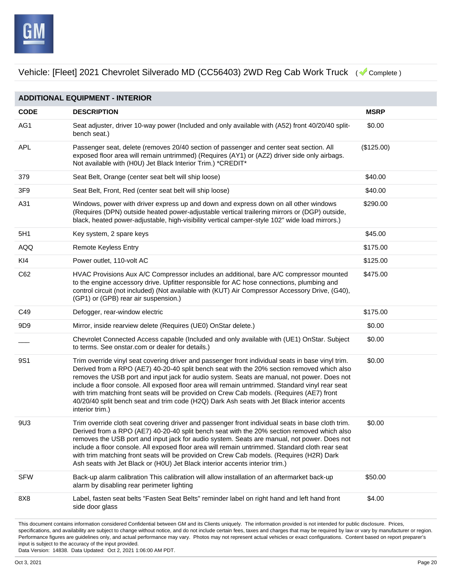

This document contains information considered Confidential between GM and its Clients uniquely. The information provided is not intended for public disclosure. Prices, **ADDITIONAL EQUIPMENT - INTERIOR CODE DESCRIPTION MSRP** AG1 Seat adjuster, driver 10-way power (Included and only available with (A52) front 40/20/40 splitbench seat.) \$0.00 APL Passenger seat, delete (removes 20/40 section of passenger and center seat section. All exposed floor area will remain untrimmed) (Requires (AY1) or (AZ2) driver side only airbags. Not available with (H0U) Jet Black Interior Trim.) \*CREDIT\* (\$125.00) 379 Seat Belt, Orange (center seat belt will ship loose) \$40.00 3F9 Seat Belt, Front, Red (center seat belt will ship loose) \$40.00 A31 Windows, power with driver express up and down and express down on all other windows (Requires (DPN) outside heated power-adjustable vertical trailering mirrors or (DGP) outside, black, heated power-adjustable, high-visibility vertical camper-style 102" wide load mirrors.) \$290.00 5H1 Key system, 2 spare keys **6 and 5 and 5 and 5 and 5 and 5 and 5 and 5 and 5 and 5 and 5 and 5 and 5 and 5 and 5 and 5 and 5 and 5 and 5 and 5 and 5 and 5 and 5 and 5 and 5 and 5 and 5 and 5 and 5 and 5 and 5 and 5 and** AQQ **Remote Keyless Entry Account 2006** 2012 12:30 ARR 2012 12:30 ARR 3175.00 KI4 Power outlet, 110-volt AC **but a strategies and the strategies of the Strategies of Strategies and Strategies Strategies and Strategies Strategies and Strategies and Strategies Strategies and Strategies and Strategies** C62 HVAC Provisions Aux A/C Compressor includes an additional, bare A/C compressor mounted to the engine accessory drive. Upfitter responsible for AC hose connections, plumbing and control circuit (not included) (Not available with (KUT) Air Compressor Accessory Drive, (G40), (GP1) or (GPB) rear air suspension.) \$475.00 C49 Defogger, rear-window electric **CASE CASE CONSERVATES** Defogger, rear-window electric 9D9 Mirror, inside rearview delete (Requires (UE0) OnStar delete.) \$0.00 \_\_\_ Chevrolet Connected Access capable (Included and only available with (UE1) OnStar. Subject to terms. See onstar.com or dealer for details.) \$0.00 9S1 Trim override vinyl seat covering driver and passenger front individual seats in base vinyl trim. Derived from a RPO (AE7) 40-20-40 split bench seat with the 20% section removed which also removes the USB port and input jack for audio system. Seats are manual, not power. Does not include a floor console. All exposed floor area will remain untrimmed. Standard vinyl rear seat with trim matching front seats will be provided on Crew Cab models. (Requires (AE7) front 40/20/40 split bench seat and trim code (H2Q) Dark Ash seats with Jet Black interior accents interior trim.) \$0.00 9U3 Trim override cloth seat covering driver and passenger front individual seats in base cloth trim. Derived from a RPO (AE7) 40-20-40 split bench seat with the 20% section removed which also removes the USB port and input jack for audio system. Seats are manual, not power. Does not include a floor console. All exposed floor area will remain untrimmed. Standard cloth rear seat with trim matching front seats will be provided on Crew Cab models. (Requires (H2R) Dark Ash seats with Jet Black or (H0U) Jet Black interior accents interior trim.) \$0.00 SFW Back-up alarm calibration This calibration will allow installation of an aftermarket back-up alarm by disabling rear perimeter lighting \$50.00 8X8 Label, fasten seat belts "Fasten Seat Belts" reminder label on right hand and left hand front side door glass \$4.00

specifications, and availability are subject to change without notice, and do not include certain fees, taxes and charges that may be required by law or vary by manufacturer or region. Performance figures are guidelines only, and actual performance may vary. Photos may not represent actual vehicles or exact configurations. Content based on report preparer's input is subject to the accuracy of the input provided.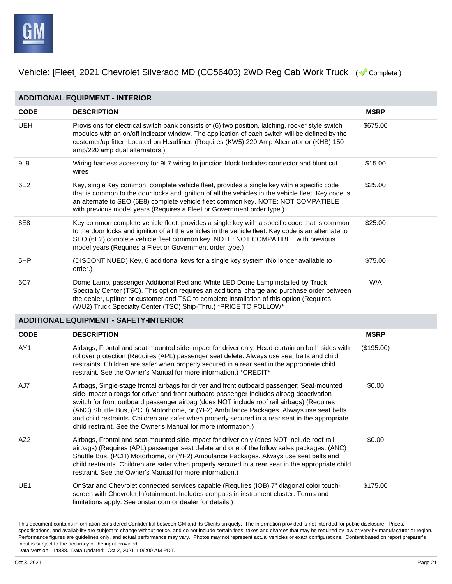

**ADDITIONAL EQUIPMENT - INTERIOR CODE DESCRIPTION MSRP** UEH Provisions for electrical switch bank consists of (6) two position, latching, rocker style switch modules with an on/off indicator window. The application of each switch will be defined by the customer/up fitter. Located on Headliner. (Requires (KW5) 220 Amp Alternator or (KHB) 150 amp/220 amp dual alternators.) \$675.00 9L9 Wiring harness accessory for 9L7 wiring to junction block Includes connector and blunt cut wires \$15.00 6E2 Key, single Key common, complete vehicle fleet, provides a single key with a specific code that is common to the door locks and ignition of all the vehicles in the vehicle fleet. Key code is an alternate to SEO (6E8) complete vehicle fleet common key. NOTE: NOT COMPATIBLE with previous model years (Requires a Fleet or Government order type.) \$25.00 6E8 Key common complete vehicle fleet, provides a single key with a specific code that is common to the door locks and ignition of all the vehicles in the vehicle fleet. Key code is an alternate to SEO (6E2) complete vehicle fleet common key. NOTE: NOT COMPATIBLE with previous model years (Requires a Fleet or Government order type.) \$25.00 5HP (DISCONTINUED) Key, 6 additional keys for a single key system (No longer available to order.) \$75.00 6C7 Dome Lamp, passenger Additional Red and White LED Dome Lamp installed by Truck Specialty Center (TSC). This option requires an additional charge and purchase order between the dealer, upfitter or customer and TSC to complete installation of this option (Requires (WU2) Truck Specialty Center (TSC) Ship-Thru.) \*PRICE TO FOLLOW\* W/A **ADDITIONAL EQUIPMENT - SAFETY-INTERIOR CODE DESCRIPTION MSRP** AY1 Airbags, Frontal and seat-mounted side-impact for driver only; Head-curtain on both sides with rollover protection (Requires (APL) passenger seat delete. Always use seat belts and child restraints. Children are safer when properly secured in a rear seat in the appropriate child restraint. See the Owner's Manual for more information.) \*CREDIT\* (\$195.00) AJ7 Airbags, Single-stage frontal airbags for driver and front outboard passenger; Seat-mounted side-impact airbags for driver and front outboard passenger Includes airbag deactivation switch for front outboard passenger airbag (does NOT include roof rail airbags) (Requires (ANC) Shuttle Bus, (PCH) Motorhome, or (YF2) Ambulance Packages. Always use seat belts and child restraints. Children are safer when properly secured in a rear seat in the appropriate child restraint. See the Owner's Manual for more information.) \$0.00 AZ2 Airbags, Frontal and seat-mounted side-impact for driver only (does NOT include roof rail airbags) (Requires (APL) passenger seat delete and one of the follow sales packages: (ANC) Shuttle Bus, (PCH) Motorhome, or (YF2) Ambulance Packages. Always use seat belts and child restraints. Children are safer when properly secured in a rear seat in the appropriate child restraint. See the Owner's Manual for more information.) \$0.00 UE1 OnStar and Chevrolet connected services capable (Requires (IOB) 7" diagonal color touchscreen with Chevrolet Infotainment. Includes compass in instrument cluster. Terms and limitations apply. See onstar.com or dealer for details.) \$175.00

This document contains information considered Confidential between GM and its Clients uniquely. The information provided is not intended for public disclosure. Prices, specifications, and availability are subject to change without notice, and do not include certain fees, taxes and charges that may be required by law or vary by manufacturer or region. Performance figures are guidelines only, and actual performance may vary. Photos may not represent actual vehicles or exact configurations. Content based on report preparer's input is subject to the accuracy of the input provided.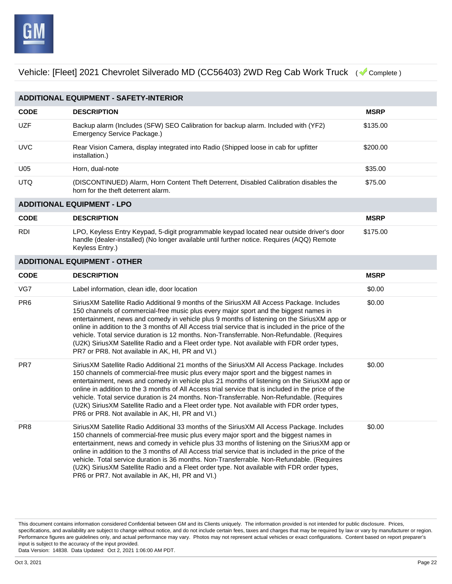

| <b>ADDITIONAL EQUIPMENT - SAFETY-INTERIOR</b> |                                                                                                                                                                                                                                                                                                                                                                                                                                                                                                                                                                                                                                            |             |  |  |
|-----------------------------------------------|--------------------------------------------------------------------------------------------------------------------------------------------------------------------------------------------------------------------------------------------------------------------------------------------------------------------------------------------------------------------------------------------------------------------------------------------------------------------------------------------------------------------------------------------------------------------------------------------------------------------------------------------|-------------|--|--|
|                                               |                                                                                                                                                                                                                                                                                                                                                                                                                                                                                                                                                                                                                                            |             |  |  |
| <b>CODE</b>                                   | <b>DESCRIPTION</b>                                                                                                                                                                                                                                                                                                                                                                                                                                                                                                                                                                                                                         | <b>MSRP</b> |  |  |
| <b>UZF</b>                                    | Backup alarm (Includes (SFW) SEO Calibration for backup alarm. Included with (YF2)<br>Emergency Service Package.)                                                                                                                                                                                                                                                                                                                                                                                                                                                                                                                          | \$135.00    |  |  |
| <b>UVC</b>                                    | Rear Vision Camera, display integrated into Radio (Shipped loose in cab for upfitter<br>installation.)                                                                                                                                                                                                                                                                                                                                                                                                                                                                                                                                     | \$200.00    |  |  |
| U05                                           | Horn, dual-note                                                                                                                                                                                                                                                                                                                                                                                                                                                                                                                                                                                                                            | \$35.00     |  |  |
| <b>UTQ</b>                                    | (DISCONTINUED) Alarm, Horn Content Theft Deterrent, Disabled Calibration disables the<br>horn for the theft deterrent alarm.                                                                                                                                                                                                                                                                                                                                                                                                                                                                                                               | \$75.00     |  |  |
| <b>ADDITIONAL EQUIPMENT - LPO</b>             |                                                                                                                                                                                                                                                                                                                                                                                                                                                                                                                                                                                                                                            |             |  |  |
| <b>CODE</b>                                   | <b>DESCRIPTION</b>                                                                                                                                                                                                                                                                                                                                                                                                                                                                                                                                                                                                                         | <b>MSRP</b> |  |  |
| <b>RDI</b>                                    | LPO, Keyless Entry Keypad, 5-digit programmable keypad located near outside driver's door<br>handle (dealer-installed) (No longer available until further notice. Requires (AQQ) Remote<br>Keyless Entry.)                                                                                                                                                                                                                                                                                                                                                                                                                                 | \$175.00    |  |  |
|                                               | <b>ADDITIONAL EQUIPMENT - OTHER</b>                                                                                                                                                                                                                                                                                                                                                                                                                                                                                                                                                                                                        |             |  |  |
| <b>CODE</b>                                   | <b>DESCRIPTION</b>                                                                                                                                                                                                                                                                                                                                                                                                                                                                                                                                                                                                                         | <b>MSRP</b> |  |  |
| VG7                                           | Label information, clean idle, door location                                                                                                                                                                                                                                                                                                                                                                                                                                                                                                                                                                                               | \$0.00      |  |  |
| PR <sub>6</sub>                               | Sirius XM Satellite Radio Additional 9 months of the Sirius XM All Access Package. Includes<br>150 channels of commercial-free music plus every major sport and the biggest names in<br>entertainment, news and comedy in vehicle plus 9 months of listening on the SiriusXM app or<br>online in addition to the 3 months of All Access trial service that is included in the price of the<br>vehicle. Total service duration is 12 months. Non-Transferrable. Non-Refundable. (Requires<br>(U2K) SiriusXM Satellite Radio and a Fleet order type. Not available with FDR order types,<br>PR7 or PR8. Not available in AK, HI, PR and VI.) | \$0.00      |  |  |
| PR7                                           | SiriusXM Satellite Radio Additional 21 months of the SiriusXM All Access Package. Includes<br>150 channels of commercial-free music plus every major sport and the biggest names in<br>entertainment, news and comedy in vehicle plus 21 months of listening on the SiriusXM app or<br>online in addition to the 3 months of All Access trial service that is included in the price of the<br>vehicle. Total service duration is 24 months. Non-Transferrable. Non-Refundable. (Requires<br>(U2K) SiriusXM Satellite Radio and a Fleet order type. Not available with FDR order types,<br>PR6 or PR8. Not available in AK, HI, PR and VI.) | \$0.00      |  |  |
| PR <sub>8</sub>                               | SiriusXM Satellite Radio Additional 33 months of the SiriusXM All Access Package. Includes<br>150 channels of commercial-free music plus every major sport and the biggest names in<br>entertainment, news and comedy in vehicle plus 33 months of listening on the SiriusXM app or<br>online in addition to the 3 months of All Access trial service that is included in the price of the<br>vehicle. Total service duration is 36 months. Non-Transferrable. Non-Refundable. (Requires<br>(U2K) SiriusXM Satellite Radio and a Fleet order type. Not available with FDR order types,<br>PR6 or PR7. Not available in AK, HI, PR and VI.) | \$0.00      |  |  |

This document contains information considered Confidential between GM and its Clients uniquely. The information provided is not intended for public disclosure. Prices, specifications, and availability are subject to change without notice, and do not include certain fees, taxes and charges that may be required by law or vary by manufacturer or region. Performance figures are guidelines only, and actual performance may vary. Photos may not represent actual vehicles or exact configurations. Content based on report preparer's input is subject to the accuracy of the input provided.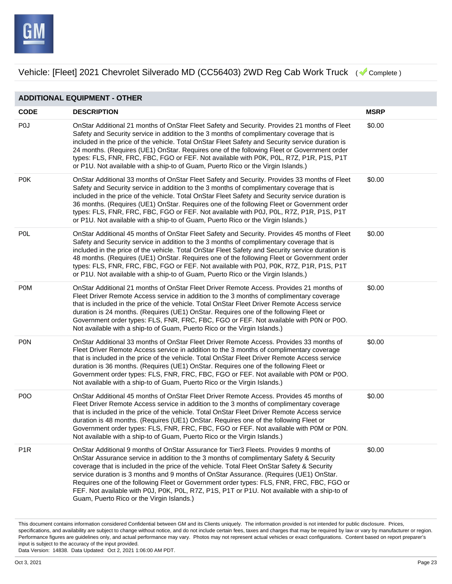

| <b>ADDITIONAL EQUIPMENT - OTHER</b> |                                                                                                                                                                                                                                                                                                                                                                                                                                                                                                                                                                                                                     |             |  |
|-------------------------------------|---------------------------------------------------------------------------------------------------------------------------------------------------------------------------------------------------------------------------------------------------------------------------------------------------------------------------------------------------------------------------------------------------------------------------------------------------------------------------------------------------------------------------------------------------------------------------------------------------------------------|-------------|--|
| <b>CODE</b>                         | <b>DESCRIPTION</b>                                                                                                                                                                                                                                                                                                                                                                                                                                                                                                                                                                                                  | <b>MSRP</b> |  |
| P <sub>0</sub>                      | OnStar Additional 21 months of OnStar Fleet Safety and Security. Provides 21 months of Fleet<br>Safety and Security service in addition to the 3 months of complimentary coverage that is<br>included in the price of the vehicle. Total OnStar Fleet Safety and Security service duration is<br>24 months. (Requires (UE1) OnStar. Requires one of the following Fleet or Government order<br>types: FLS, FNR, FRC, FBC, FGO or FEF. Not available with P0K, P0L, R7Z, P1R, P1S, P1T<br>or P1U. Not available with a ship-to of Guam, Puerto Rico or the Virgin Islands.)                                          | \$0.00      |  |
| <b>P0K</b>                          | OnStar Additional 33 months of OnStar Fleet Safety and Security. Provides 33 months of Fleet<br>Safety and Security service in addition to the 3 months of complimentary coverage that is<br>included in the price of the vehicle. Total OnStar Fleet Safety and Security service duration is<br>36 months. (Requires (UE1) OnStar. Requires one of the following Fleet or Government order<br>types: FLS, FNR, FRC, FBC, FGO or FEF. Not available with P0J, P0L, R7Z, P1R, P1S, P1T<br>or P1U. Not available with a ship-to of Guam, Puerto Rico or the Virgin Islands.)                                          | \$0.00      |  |
| <b>POL</b>                          | OnStar Additional 45 months of OnStar Fleet Safety and Security. Provides 45 months of Fleet<br>Safety and Security service in addition to the 3 months of complimentary coverage that is<br>included in the price of the vehicle. Total OnStar Fleet Safety and Security service duration is<br>48 months. (Requires (UE1) OnStar. Requires one of the following Fleet or Government order<br>types: FLS, FNR, FRC, FBC, FGO or FEF. Not available with P0J, P0K, R7Z, P1R, P1S, P1T<br>or P1U. Not available with a ship-to of Guam, Puerto Rico or the Virgin Islands.)                                          | \$0.00      |  |
| <b>POM</b>                          | OnStar Additional 21 months of OnStar Fleet Driver Remote Access. Provides 21 months of<br>Fleet Driver Remote Access service in addition to the 3 months of complimentary coverage<br>that is included in the price of the vehicle. Total OnStar Fleet Driver Remote Access service<br>duration is 24 months. (Requires (UE1) OnStar. Requires one of the following Fleet or<br>Government order types: FLS, FNR, FRC, FBC, FGO or FEF. Not available with P0N or P0O.<br>Not available with a ship-to of Guam, Puerto Rico or the Virgin Islands.)                                                                | \$0.00      |  |
| <b>PON</b>                          | OnStar Additional 33 months of OnStar Fleet Driver Remote Access. Provides 33 months of<br>Fleet Driver Remote Access service in addition to the 3 months of complimentary coverage<br>that is included in the price of the vehicle. Total OnStar Fleet Driver Remote Access service<br>duration is 36 months. (Requires (UE1) OnStar. Requires one of the following Fleet or<br>Government order types: FLS, FNR, FRC, FBC, FGO or FEF. Not available with P0M or P0O.<br>Not available with a ship-to of Guam, Puerto Rico or the Virgin Islands.)                                                                | \$0.00      |  |
| P <sub>0</sub>                      | OnStar Additional 45 months of OnStar Fleet Driver Remote Access. Provides 45 months of<br>Fleet Driver Remote Access service in addition to the 3 months of complimentary coverage<br>that is included in the price of the vehicle. Total OnStar Fleet Driver Remote Access service<br>duration is 48 months. (Requires (UE1) OnStar. Requires one of the following Fleet or<br>Government order types: FLS, FNR, FRC, FBC, FGO or FEF. Not available with P0M or P0N.<br>Not available with a ship-to of Guam, Puerto Rico or the Virgin Islands.)                                                                | \$0.00      |  |
| P <sub>1R</sub>                     | OnStar Additional 9 months of OnStar Assurance for Tier3 Fleets. Provides 9 months of<br>OnStar Assurance service in addition to the 3 months of complimentary Safety & Security<br>coverage that is included in the price of the vehicle. Total Fleet OnStar Safety & Security<br>service duration is 3 months and 9 months of OnStar Assurance. (Requires (UE1) OnStar.<br>Requires one of the following Fleet or Government order types: FLS, FNR, FRC, FBC, FGO or<br>FEF. Not available with P0J, P0K, P0L, R7Z, P1S, P1T or P1U. Not available with a ship-to of<br>Guam, Puerto Rico or the Virgin Islands.) | \$0.00      |  |

This document contains information considered Confidential between GM and its Clients uniquely. The information provided is not intended for public disclosure. Prices, specifications, and availability are subject to change without notice, and do not include certain fees, taxes and charges that may be required by law or vary by manufacturer or region. Performance figures are guidelines only, and actual performance may vary. Photos may not represent actual vehicles or exact configurations. Content based on report preparer's input is subject to the accuracy of the input provided.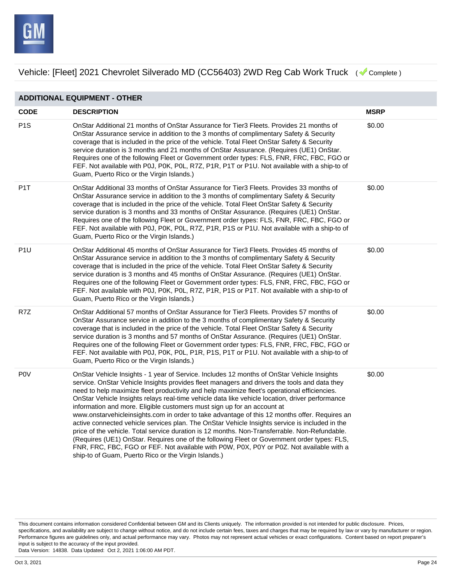

**ADDITIONAL EQUIPMENT - OTHER CODE DESCRIPTION MSRP** P1S OnStar Additional 21 months of OnStar Assurance for Tier3 Fleets. Provides 21 months of OnStar Assurance service in addition to the 3 months of complimentary Safety & Security coverage that is included in the price of the vehicle. Total Fleet OnStar Safety & Security service duration is 3 months and 21 months of OnStar Assurance. (Requires (UE1) OnStar. Requires one of the following Fleet or Government order types: FLS, FNR, FRC, FBC, FGO or FEF. Not available with P0J, P0K, P0L, R7Z, P1R, P1T or P1U. Not available with a ship-to of Guam, Puerto Rico or the Virgin Islands.) \$0.00 P1T OnStar Additional 33 months of OnStar Assurance for Tier3 Fleets. Provides 33 months of OnStar Assurance service in addition to the 3 months of complimentary Safety & Security coverage that is included in the price of the vehicle. Total Fleet OnStar Safety & Security service duration is 3 months and 33 months of OnStar Assurance. (Requires (UE1) OnStar. Requires one of the following Fleet or Government order types: FLS, FNR, FRC, FBC, FGO or FEF. Not available with P0J, P0K, P0L, R7Z, P1R, P1S or P1U. Not available with a ship-to of Guam, Puerto Rico or the Virgin Islands.) \$0.00 P1U OnStar Additional 45 months of OnStar Assurance for Tier3 Fleets. Provides 45 months of OnStar Assurance service in addition to the 3 months of complimentary Safety & Security coverage that is included in the price of the vehicle. Total Fleet OnStar Safety & Security service duration is 3 months and 45 months of OnStar Assurance. (Requires (UE1) OnStar. Requires one of the following Fleet or Government order types: FLS, FNR, FRC, FBC, FGO or FEF. Not available with P0J, P0K, P0L, R7Z, P1R, P1S or P1T. Not available with a ship-to of Guam, Puerto Rico or the Virgin Islands.) \$0.00 R7Z OnStar Additional 57 months of OnStar Assurance for Tier3 Fleets. Provides 57 months of OnStar Assurance service in addition to the 3 months of complimentary Safety & Security coverage that is included in the price of the vehicle. Total Fleet OnStar Safety & Security service duration is 3 months and 57 months of OnStar Assurance. (Requires (UE1) OnStar. Requires one of the following Fleet or Government order types: FLS, FNR, FRC, FBC, FGO or FEF. Not available with P0J, P0K, P0L, P1R, P1S, P1T or P1U. Not available with a ship-to of Guam, Puerto Rico or the Virgin Islands.) \$0.00 P0V OnStar Vehicle Insights - 1 year of Service. Includes 12 months of OnStar Vehicle Insights service. OnStar Vehicle Insights provides fleet managers and drivers the tools and data they need to help maximize fleet productivity and help maximize fleet's operational efficiencies. OnStar Vehicle Insights relays real-time vehicle data like vehicle location, driver performance information and more. Eligible customers must sign up for an account at www.onstarvehicleinsights.com in order to take advantage of this 12 months offer. Requires an active connected vehicle services plan. The OnStar Vehicle Insights service is included in the price of the vehicle. Total service duration is 12 months. Non-Transferrable. Non-Refundable. (Requires (UE1) OnStar. Requires one of the following Fleet or Government order types: FLS, FNR, FRC, FBC, FGO or FEF. Not available with P0W, P0X, P0Y or P0Z. Not available with a ship-to of Guam, Puerto Rico or the Virgin Islands.) \$0.00

This document contains information considered Confidential between GM and its Clients uniquely. The information provided is not intended for public disclosure. Prices, specifications, and availability are subject to change without notice, and do not include certain fees, taxes and charges that may be required by law or vary by manufacturer or region. Performance figures are guidelines only, and actual performance may vary. Photos may not represent actual vehicles or exact configurations. Content based on report preparer's input is subject to the accuracy of the input provided.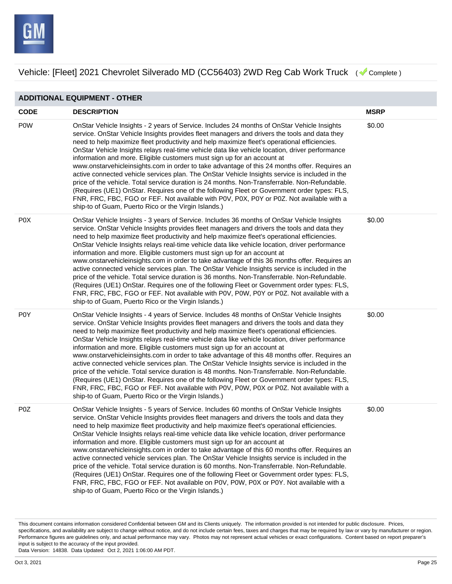

**ADDITIONAL EQUIPMENT - OTHER**

Vehicle: [Fleet] 2021 Chevrolet Silverado MD (CC56403) 2WD Reg Cab Work Truck ( Complete)

**CODE DESCRIPTION MSRP** P0W OnStar Vehicle Insights - 2 years of Service. Includes 24 months of OnStar Vehicle Insights service. OnStar Vehicle Insights provides fleet managers and drivers the tools and data they need to help maximize fleet productivity and help maximize fleet's operational efficiencies. OnStar Vehicle Insights relays real-time vehicle data like vehicle location, driver performance information and more. Eligible customers must sign up for an account at www.onstarvehicleinsights.com in order to take advantage of this 24 months offer. Requires an active connected vehicle services plan. The OnStar Vehicle Insights service is included in the price of the vehicle. Total service duration is 24 months. Non-Transferrable. Non-Refundable. (Requires (UE1) OnStar. Requires one of the following Fleet or Government order types: FLS, FNR, FRC, FBC, FGO or FEF. Not available with P0V, P0X, P0Y or P0Z. Not available with a ship-to of Guam, Puerto Rico or the Virgin Islands.) \$0.00 P0X OnStar Vehicle Insights - 3 years of Service. Includes 36 months of OnStar Vehicle Insights service. OnStar Vehicle Insights provides fleet managers and drivers the tools and data they need to help maximize fleet productivity and help maximize fleet's operational efficiencies. OnStar Vehicle Insights relays real-time vehicle data like vehicle location, driver performance information and more. Eligible customers must sign up for an account at www.onstarvehicleinsights.com in order to take advantage of this 36 months offer. Requires an active connected vehicle services plan. The OnStar Vehicle Insights service is included in the price of the vehicle. Total service duration is 36 months. Non-Transferrable. Non-Refundable. (Requires (UE1) OnStar. Requires one of the following Fleet or Government order types: FLS, FNR, FRC, FBC, FGO or FEF. Not available with P0V, P0W, P0Y or P0Z. Not available with a ship-to of Guam, Puerto Rico or the Virgin Islands.) \$0.00 P0Y OnStar Vehicle Insights - 4 years of Service. Includes 48 months of OnStar Vehicle Insights service. OnStar Vehicle Insights provides fleet managers and drivers the tools and data they need to help maximize fleet productivity and help maximize fleet's operational efficiencies. OnStar Vehicle Insights relays real-time vehicle data like vehicle location, driver performance information and more. Eligible customers must sign up for an account at www.onstarvehicleinsights.com in order to take advantage of this 48 months offer. Requires an active connected vehicle services plan. The OnStar Vehicle Insights service is included in the price of the vehicle. Total service duration is 48 months. Non-Transferrable. Non-Refundable. (Requires (UE1) OnStar. Requires one of the following Fleet or Government order types: FLS, FNR, FRC, FBC, FGO or FEF. Not available with P0V, P0W, P0X or P0Z. Not available with a ship-to of Guam, Puerto Rico or the Virgin Islands.) \$0.00 P0Z OnStar Vehicle Insights - 5 years of Service. Includes 60 months of OnStar Vehicle Insights service. OnStar Vehicle Insights provides fleet managers and drivers the tools and data they need to help maximize fleet productivity and help maximize fleet's operational efficiencies. OnStar Vehicle Insights relays real-time vehicle data like vehicle location, driver performance \$0.00

information and more. Eligible customers must sign up for an account at www.onstarvehicleinsights.com in order to take advantage of this 60 months offer. Requires an active connected vehicle services plan. The OnStar Vehicle Insights service is included in the price of the vehicle. Total service duration is 60 months. Non-Transferrable. Non-Refundable. (Requires (UE1) OnStar. Requires one of the following Fleet or Government order types: FLS, FNR, FRC, FBC, FGO or FEF. Not available on P0V, P0W, P0X or P0Y. Not available with a ship-to of Guam, Puerto Rico or the Virgin Islands.)

This document contains information considered Confidential between GM and its Clients uniquely. The information provided is not intended for public disclosure. Prices, specifications, and availability are subject to change without notice, and do not include certain fees, taxes and charges that may be required by law or vary by manufacturer or region. Performance figures are guidelines only, and actual performance may vary. Photos may not represent actual vehicles or exact configurations. Content based on report preparer's input is subject to the accuracy of the input provided.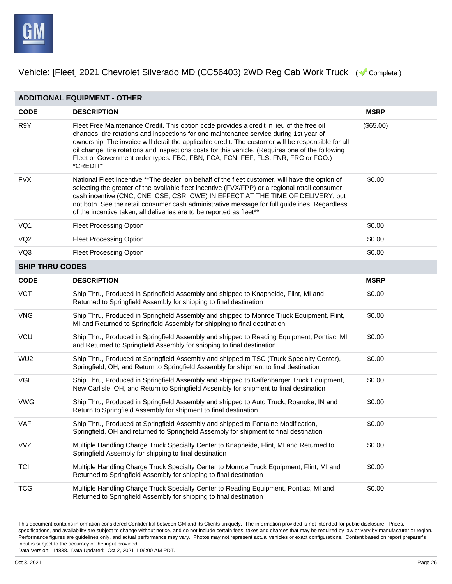

**ADDITIONAL EQUIPMENT - OTHER CODE DESCRIPTION MSRP** R9Y Fleet Free Maintenance Credit. This option code provides a credit in lieu of the free oil changes, tire rotations and inspections for one maintenance service during 1st year of ownership. The invoice will detail the applicable credit. The customer will be responsible for all oil change, tire rotations and inspections costs for this vehicle. (Requires one of the following Fleet or Government order types: FBC, FBN, FCA, FCN, FEF, FLS, FNR, FRC or FGO.) \*CREDIT\* (\$65.00) FVX National Fleet Incentive \*\*The dealer, on behalf of the fleet customer, will have the option of selecting the greater of the available fleet incentive (FVX/FPP) or a regional retail consumer cash incentive (CNC, CNE, CSE, CSR, CWE) IN EFFECT AT THE TIME OF DELIVERY, but not both. See the retail consumer cash administrative message for full guidelines. Regardless of the incentive taken, all deliveries are to be reported as fleet\*\* \$0.00 VQ1 Fleet Processing Option **Figure 20.000** Fleet Processing Option VQ2 Fleet Processing Option **60.000 Fleet Processing Option** 60.00 VQ3 Fleet Processing Option **60.000 Fleet Processing Option** 60.00 **SHIP THRU CODES CODE DESCRIPTION MSRP** VCT Ship Thru, Produced in Springfield Assembly and shipped to Knapheide, Flint, MI and Returned to Springfield Assembly for shipping to final destination \$0.00 VNG Ship Thru, Produced in Springfield Assembly and shipped to Monroe Truck Equipment, Flint, MI and Returned to Springfield Assembly for shipping to final destination \$0.00 VCU Ship Thru, Produced in Springfield Assembly and shipped to Reading Equipment, Pontiac, MI and Returned to Springfield Assembly for shipping to final destination \$0.00 WU2 Ship Thru, Produced at Springfield Assembly and shipped to TSC (Truck Specialty Center), Springfield, OH, and Return to Springfield Assembly for shipment to final destination \$0.00 VGH Ship Thru, Produced in Springfield Assembly and shipped to Kaffenbarger Truck Equipment, New Carlisle, OH, and Return to Springfield Assembly for shipment to final destination \$0.00 VWG Ship Thru, Produced in Springfield Assembly and shipped to Auto Truck, Roanoke, IN and Return to Springfield Assembly for shipment to final destination \$0.00 VAF Ship Thru, Produced at Springfield Assembly and shipped to Fontaine Modification, Springfield, OH and returned to Springfield Assembly for shipment to final destination \$0.00 VVZ Multiple Handling Charge Truck Specialty Center to Knapheide, Flint, MI and Returned to Springfield Assembly for shipping to final destination \$0.00 TCI Multiple Handling Charge Truck Specialty Center to Monroe Truck Equipment, Flint, MI and Returned to Springfield Assembly for shipping to final destination \$0.00 TCG Multiple Handling Charge Truck Specialty Center to Reading Equipment, Pontiac, MI and Returned to Springfield Assembly for shipping to final destination \$0.00

This document contains information considered Confidential between GM and its Clients uniquely. The information provided is not intended for public disclosure. Prices, specifications, and availability are subject to change without notice, and do not include certain fees, taxes and charges that may be required by law or vary by manufacturer or region. Performance figures are guidelines only, and actual performance may vary. Photos may not represent actual vehicles or exact configurations. Content based on report preparer's input is subject to the accuracy of the input provided.